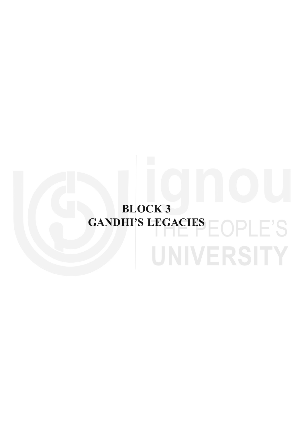# **BLOCK 3** GANDHI'S LEGACIES **EOPLE'S** UNIVERSITY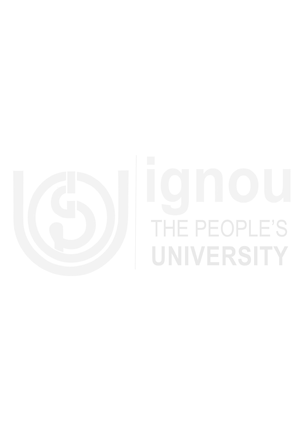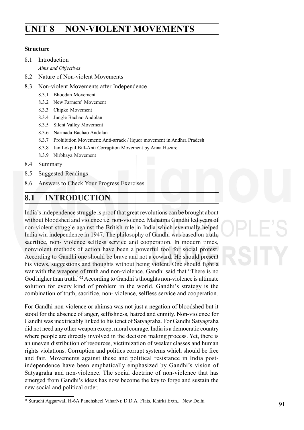# **Non-Violent Movements UNIT 8 NON-VIOLENT MOVEMENTS**

### **Structure**

8.1 Introduction

*Aims and Objectives*

- 8.2 Nature of Non-violent Movements
- 8.3 Non-violent Movements after Independence
	- 8.3.1 Bhoodan Movement
	- 8.3.2 New Farmers' Movement
	- 8.3.3 Chipko Movement
	- 8.3.4 Jungle Bachao Andolan
	- 8.3.5 Silent Valley Movement
	- 8.3.6 Narmada Bachao Andolan
	- 8.3.7 Prohibition Movement: Anti-arrack / liquor movement in Andhra Pradesh
	- 8.3.8 Jan Lokpal Bill-Anti Corruption Movement by Anna Hazare
	- 8.3.9 Nirbhaya Movement
- 8.4 Summary
- 8.5 Suggested Readings
- 8.6 Answers to Check Your Progress Exercises

# **8.1 INTRODUCTION**

India's independence struggle is proof that great revolutions can be brought about without bloodshed and violence i.e. non-violence. Mahatma Gandhi led years of non-violent struggle against the British rule in India which eventually helped India win independence in 1947. The philosophy of Gandhi was based on truth, sacrifice, non- violence selfless service and cooperation. In modern times, nonviolent methods of action have been a powerful tool for social protest. According to Gandhi one should be brave and not a coward. He should present his views, suggestions and thoughts without being violent. One should fight a war with the weapons of truth and non-violence. Gandhi said that "There is no God higher than truth."52 According to Gandhi's thoughts non-violence is ultimate solution for every kind of problem in the world. Gandhi's strategy is the combination of truth, sacrifice, non- violence, selfless service and cooperation.

For Gandhi non-violence or ahimsa was not just a negation of bloodshed but it stood for the absence of anger, selfishness, hatred and enmity. Non-violence for Gandhi was inextricably linked to his tenet of Satyagraha. For Gandhi Satyagraha did not need any other weapon except moral courage. India is a democratic country where people are directly involved in the decision making process. Yet, there is an uneven distribution of resources, victimization of weaker classes and human rights violations. Corruption and politics corrupt systems which should be free and fair. Movements against these and political resistance in India postindependence have been emphatically emphasized by Gandhi's vision of Satyagraha and non-violence. The social doctrine of non-violence that has emerged from Gandhi's ideas has now become the key to forge and sustain the new social and political order.

<sup>\*</sup> Suruchi Aggarwal, H-6A Panchsheel ViharNr. D.D.A. Flats, Khirki Extn., New Delhi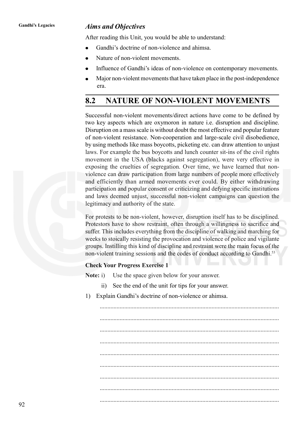### **Gandhi's Legacies** *Aims and Objectives*

After reading this Unit, you would be able to understand:

- Gandhi's doctrine of non-violence and ahimsa.
- Nature of non-violent movements.
- Influence of Gandhi's ideas of non-violence on contemporary movements.
- Major non-violent movements that have taken place in the post-independence era.

# **8.2 NATURE OF NON-VIOLENT MOVEMENTS**

Successful non-violent movements/direct actions have come to be defined by two key aspects which are oxymoron in nature i.e. disruption and discipline. Disruption on a mass scale is without doubt the most effective and popular feature of non-violent resistance. Non-cooperation and large-scale civil disobedience, by using methods like mass boycotts, picketing etc. can draw attention to unjust laws. For example the bus boycotts and lunch counter sit-ins of the civil rights movement in the USA (blacks against segregation), were very effective in exposing the cruelties of segregation. Over time, we have learned that nonviolence can draw participation from large numbers of people more effectively and efficiently than armed movements ever could. By either withdrawing participation and popular consent or criticizing and defying specific institutions and laws deemed unjust, successful non-violent campaigns can question the legitimacy and authority of the state.

For protests to be non-violent, however, disruption itself has to be disciplined. Protestors have to show restraint, often through a willingness to sacrifice and suffer. This includes everything from the discipline of walking and marching for weeks to stoically resisting the provocation and violence of police and vigilante groups. Instilling this kind of discipline and restraint were the main focus of the non-violent training sessions and the codes of conduct according to Gandhi.<sup>53</sup>

### **Check Your Progress Exercise 1**

**Note:** i) Use the space given below for your answer.

- ii) See the end of the unit for tips for your answer.
- 1) Explain Gandhi's doctrine of non-violence or ahimsa.

..................................................................................................................... ..................................................................................................................... ..................................................................................................................... ..................................................................................................................... ..................................................................................................................... .....................................................................................................................

.....................................................................................................................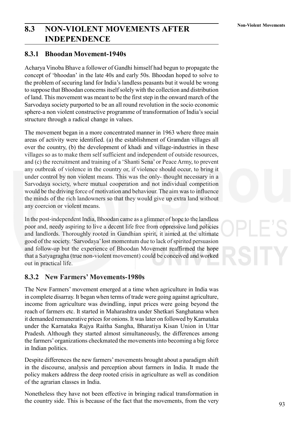# **Non-Violent Movements 8.3 NON-VIOLENT MOVEMENTS AFTER INDEPENDENCE**

### **8.3.1 Bhoodan Movement-1940s**

Acharya Vinoba Bhave a follower of Gandhi himself had begun to propagate the concept of 'bhoodan' in the late 40s and early 50s. Bhoodan hoped to solve to the problem of securing land for India's landless peasants but it would be wrong to suppose that Bhoodan concerns itself solely with the collection and distribution of land. This movement was meant to be the first step in the onward march of the Sarvodaya society purported to be an all round revolution in the socio economic sphere-a non violent constructive programme of transformation of India's social structure through a radical change in values.

The movement began in a more concentrated manner in 1963 where three main areas of activity were identified. (a) the establishment of Gramdan villages all over the country, (b) the development of khadi and village-industries in these villages so as to make them self sufficient and independent of outside resources, and (c) the recruitment and training of a 'Shanti Sena' or Peace Army, to prevent any outbreak of violence in the country or, if violence should occur, to bring it under control by non violent means. This was the only- thought necessary in a Sarvodaya society, where mutual cooperation and not individual competition would be the driving force of motivation and behaviour. The aim was to influence the minds of the rich landowners so that they would give up extra land without any coercion or violent means.

In the post-independent India, Bhoodan came as a glimmer of hope to the landless poor and, needy aspiring to live a decent life free from oppressive land policies and landlords. Thoroughly rooted in Gandhian spirit, it aimed at the ultimate good of the society. 'Sarvodaya' lost momentum due to lack of spirited persuasion and follow-up but the experience of Bhoodan Movement reaffirmed the hope that a Satyagragha (true non-violent movement) could be conceived and worked out in practical life.

### **8.3.2 New Farmers' Movements-1980s**

The New Farmers' movement emerged at a time when agriculture in India was in complete disarray. It began when terms of trade were going against agriculture, income from agriculture was dwindling, input prices were going beyond the reach of farmers etc. It started in Maharashtra under Shetkari Sanghatana when it demanded remunerative prices for onions. It was later on followed by Karnataka under the Karnataka Rajya Raitha Sangha, Bharatiya Kisan Union in Uttar Pradesh. Although they started almost simultaneously, the differences among the farmers' organizations checkmated the movements into becoming a big force in Indian politics.

Despite differences the new farmers' movements brought about a paradigm shift in the discourse, analysis and perception about farmers in India. It made the policy makers address the deep rooted crisis in agriculture as well as condition of the agrarian classes in India.

Nonetheless they have not been effective in bringing radical transformation in the country side. This is because of the fact that the movements, from the very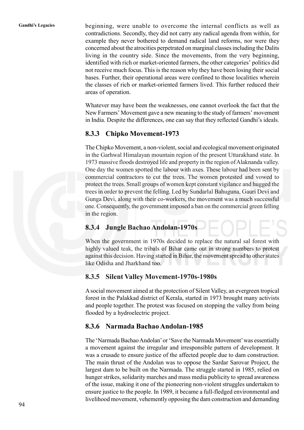**Gandhi's Legacies** beginning, were unable to overcome the internal conflicts as well as contradictions. Secondly, they did not carry any radical agenda from within, for example they never bothered to demand radical land reforms, nor were they concerned about the atrocities perpetrated on marginal classes including the Dalits living in the country side. Since the movements, from the very beginning, identified with rich or market-oriented farmers, the other categories' politics did not receive much focus. This is the reason why they have been losing their social bases. Further, their operational areas were confined to those localities wherein the classes of rich or market-oriented farmers lived. This further reduced their areas of operation.

> Whatever may have been the weaknesses, one cannot overlook the fact that the New Farmers' Movement gave a new meaning to the study of farmers' movement in India. Despite the differences, one can say that they reflected Gandhi's ideals.

### **8.3.3 Chipko Movement-1973**

The Chipko Movement, a non-violent, social and ecological movement originated in the Garhwal Himalayan mountain region of the present Uttarakhand state. In 1973 massive floods destroyed life and property in the region of Alaknanda valley. One day the women spotted the labour with axes. These labour had been sent by commercial contractors to cut the trees. The women protested and vowed to protect the trees. Small groups of women kept constant vigilance and hugged the trees in order to prevent the felling. Led by Sundarlal Bahuguna, Gauri Devi and Gunga Devi, along with their co-workers, the movement was a much successful one. Consequently, the government imposed a ban on the commercial green felling in the region.

### **8.3.4 Jungle Bachao Andolan-1970s**

When the government in 1970s decided to replace the natural sal forest with highly valued teak, the tribals of Bihar came out in strong numbers to protest against this decision. Having started in Bihar, the movement spread to other states like Odisha and Jharkhand too.

### **8.3.5 Silent Valley Movement-1970s-1980s**

A social movement aimed at the protection of Silent Valley, an evergreen tropical forest in the Palakkad district of Kerala, started in 1973 brought many activists and people together. The protest was focused on stopping the valley from being flooded by a hydroelectric project.

### **8.3.6 Narmada Bachao Andolan-1985**

The 'Narmada Bachao Andolan' or 'Save the Narmada Movement' was essentially a movement against the irregular and irresponsible pattern of development. It was a crusade to ensure justice of the affected people due to dam construction. The main thrust of the Andolan was to oppose the Sardar Sarovar Project, the largest dam to be built on the Narmada. The struggle started in 1985, relied on hunger strikes, solidarity marches and mass media publicity to spread awareness of the issue, making it one of the pioneering non-violent struggles undertaken to ensure justice to the people. In 1989, it became a full-fledged environmental and livelihood movement, vehemently opposing the dam construction and demanding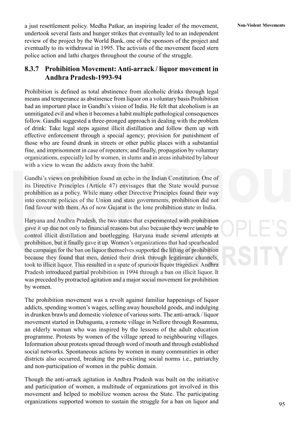a just resettlement policy. Medha Patkar, an inspiring leader of the movement, **Non-Violent Movements** undertook several fasts and hunger strikes that eventually led to an independent review of the project by the World Bank, one of the sponsors of the project and eventually to its withdrawal in 1995. The activists of the movement faced stern police action and lathi charges throughout the course of the struggle.

### **8.3.7 Prohibition Movement: Anti-arrack / liquor movement in Andhra Pradesh-1993-94**

Prohibition is defined as total abstinence from alcoholic drinks through legal means and temperance as abstinence from liquor on a voluntary basis Prohibition had an important place in Gandhi's vision of India. He felt that alcoholism is an unmitigated evil and when it becomes a habit multiple pathological consequences follow. Gandhi suggested a three-pronged approach in dealing with the problem of drink: Take legal steps against illicit distillation and follow them up with effective enforcement through a special agency; provision for punishment of those who are found drunk in streets or other public places with a substantial fine, and imprisonment in case of repeaters; and finally, propagation by voluntary organizations, especially led by women, in slums and in areas inhabited by labour with a view to wean the addicts away from the habit.

Gandhi's views on prohibition found an echo in the Indian Constitution. One of its Directive Principles (Article 47) envisages that the State would pursue prohibition as a policy. While many other Directive Principles found their way into concrete policies of the Union and state governments, prohibition did not find favour with them. As of now Gujarat is the lone prohibition state in India.

Haryana and Andhra Pradesh, the two states that experimented with prohibition gave it up due not only to financial reasons but also because they were unable to control illicit distillation and bootlegging. Haryana made several attempts at prohibition, but it finally gave it up. Women's organizations that had spearheaded the campaign for the ban on liquor themselves supported the lifting of prohibition because they found that men, denied their drink through legitimate channels, took to illicit liquor. This resulted in a spate of spurious liquor tragedies. Andhra Pradesh introduced partial prohibition in 1994 through a ban on illicit liquor. It was preceded by protracted agitation and a major social movement for prohibition by women.

The prohibition movement was a revolt against familiar happenings of liquor addicts, spending women's wages, selling away household goods, and indulging in drunken brawls and domestic violence of various sorts. The anti-arrack / liquor movement started in Dubagunta, a remote village in Nellore through Rosamma, an elderly woman who was inspired by the lessons of the adult education programme. Protests by women of the village spread to neighbouring villages. Information about protests spread through word of mouth and through established social networks. Spontaneous actions by women in many communities in other districts also occurred, breaking the pre-existing social norms i.e., patriarchy and non-participation of women in the public domain.

Though the anti-arrack agitation in Andhra Pradesh was built on the initiative and participation of women, a multitude of organizations got involved in this movement and helped to mobilize women across the State. The participating organizations supported women to sustain the struggle for a ban on liquor and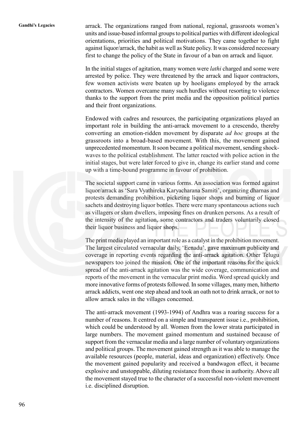Gandhi's Legacies arrack. The organizations ranged from national, regional, grassroots women's units and issue-based informal groups to political parties with different ideological orientations, priorities and political motivations. They came together to fight against liquor/arrack, the habit as well as State policy. It was considered necessary first to change the policy of the State in favour of a ban on arrack and liquor.

> In the initial stages of agitation, many women were *lathi* charged and some were arrested by police. They were threatened by the arrack and liquor contractors, few women activists were beaten up by hooligans employed by the arrack contractors. Women overcame many such hurdles without resorting to violence thanks to the support from the print media and the opposition political parties and their front organizations.

> Endowed with cadres and resources, the participating organizations played an important role in building the anti-arrack movement to a crescendo, thereby converting an emotion-ridden movement by disparate *ad hoc* groups at the grassroots into a broad-based movement. With this, the movement gained unprecedented momentum. It soon became a political movement, sending shockwaves to the political establishment. The latter reacted with police action in the initial stages, but were later forced to give in, change its earlier stand and come up with a time-bound programme in favour of prohibition.

> The societal support came in various forms. An association was formed against liquor/arrack as 'Sara Vyathireka Karyacharana Samiti', organizing dharnas and protests demanding prohibition, picketing liquor shops and burning of liquor sachets and destroying liquor bottles. There were many spontaneous actions such as villagers or slum dwellers, imposing fines on drunken persons. As a result of the intensity of the agitation, some contractors and traders voluntarily closed their liquor business and liquor shops.

> The print media played an important role as a catalyst in the prohibition movement. The largest circulated vernacular daily, 'Eenadu', gave maximum publicity and coverage in reporting events regarding the anti-arrack agitation. Other Telugu newspapers too joined the mission. One of the important reasons for the quick spread of the anti-arrack agitation was the wide coverage, communication and reports of the movement in the vernacular print media. Word spread quickly and more innovative forms of protests followed. In some villages, many men, hitherto arrack addicts, went one step ahead and took an oath not to drink arrack, or not to allow arrack sales in the villages concerned.

> The anti-arrack movement (1993-1994) of Andhra was a roaring success for a number of reasons. It centred on a simple and transparent issue i.e., prohibition, which could be understood by all. Women from the lower strata participated in large numbers. The movement gained momentum and sustained because of support from the vernacular media and a large number of voluntary organizations and political groups. The movement gained strength as it was able to manage the available resources (people, material, ideas and organization) effectively. Once the movement gained popularity and received a bandwagon effect, it became explosive and unstoppable, diluting resistance from those in authority. Above all the movement stayed true to the character of a successful non-violent movement i.e. disciplined disruption.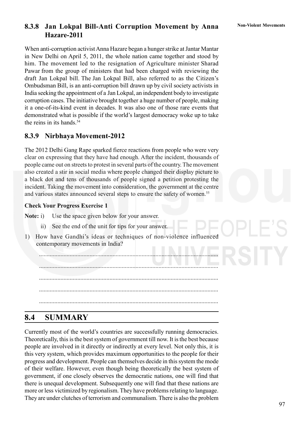### **8.3.8 Jan Lokpal Bill-Anti Corruption Movement by Anna** Non-Violent Movements **Hazare-2011**

When anti-corruption activist Anna Hazare began a hunger strike at Jantar Mantar in New Delhi on April 5, 2011, the whole nation came together and stood by him. The movement led to the resignation of Agriculture minister Sharad Pawar from the group of ministers that had been charged with reviewing the draft Jan Lokpal bill. The Jan Lokpal Bill, also referred to as the Citizen's Ombudsman Bill, is an anti-corruption bill drawn up by civil society activists in India seeking the appointment of a Jan Lokpal, an independent body to investigate corruption cases. The initiative brought together a huge number of people, making it a one-of-its-kind event in decades. It was also one of those rare events that demonstrated what is possible if the world's largest democracy woke up to take the reins in its hands.<sup>54</sup>

### **8.3.9 Nirbhaya Movement-2012**

The 2012 Delhi Gang Rape sparked fierce reactions from people who were very clear on expressing that they have had enough. After the incident, thousands of people came out on streets to protest in several parts of the country. The movement also created a stir in social media where people changed their display picture to a black dot and tens of thousands of people signed a petition protesting the incident. Taking the movement into consideration, the government at the centre and various states announced several steps to ensure the safety of women.<sup>55</sup>

### **Check Your Progress Exercise 1**

**Note:** i) Use the space given below for your answer.

- ii) See the end of the unit for tips for your answer.
- 1) How have Gandhi's ideas or techniques of non-violence influenced contemporary movements in India?

..................................................................................................................... ..................................................................................................................... ..................................................................................................................... ..................................................................................................................... .....................................................................................................................

# **8.4 SUMMARY**

Currently most of the world's countries are successfully running democracies. Theoretically, this is the best system of government till now. It is the best because people are involved in it directly or indirectly at every level. Not only this, it is this very system, which provides maximum opportunities to the people for their progress and development. People can themselves decide in this system the mode of their welfare. However, even though being theoretically the best system of government, if one closely observes the democratic nations, one will find that there is unequal development. Subsequently one will find that these nations are more or less victimized by regionalism. They have problems relating to language. They are under clutches of terrorism and communalism. There is also the problem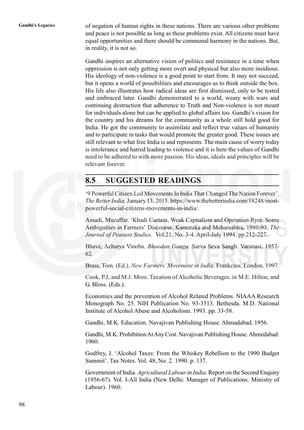**Gandhi's Legacies** of negation of human rights in these nations. There are various other problems and peace is not possible as long as these problems exist. All citizens must have equal opportunities and there should be communal harmony in the nations. But, in reality, it is not so.

> Gandhi inspires an alternative vision of politics and resistance in a time when oppression is not only getting more overt and physical but also more insidious. His ideology of non-violence is a good point to start from. It may not succeed, but it opens a world of possibilities and encourages us to think outside the box. His life also illustrates how radical ideas are first dismissed, only to be tested and embraced later. Gandhi demonstrated to a world, weary with wars and continuing destruction that adherence to Truth and Non-violence is not meant for individuals alone but can be applied to global affairs too. Gandhi's vision for the country and his dreams for the community as a whole still hold good for India. He got the community to assimilate and reflect true values of humanity and to participate in tasks that would promote the greater good. These issues are still relevant to what free India is and represents. The main cause of worry today is intolerance and hatred leading to violence and it is here the values of Gandhi need to be adhered to with more passion. His ideas, ideals and principles will be relevant forever.

# **8.5 SUGGESTED READINGS**

'9 Powerful Citizen Led Movements In India That Changed The Nation Forever'. *The Better India.* January 13, 2015. https://www.thebetterindia.com/18248/mostpowerful-social-citizens-movements-in-india/.

Assadi, Muzaffar. 'Khadi Curtain, Weak Capitalism and Operation Ryot: Some Ambiguities in Farmers' Discourse, Karnataka and Maharashtra, 1980-93. *The Journal of Peasant Studies.* Vol.21, No. 3-4. April-July 1994. pp.212-227.

Bhave, Acharya Vinoba. *Bhoodan Ganga.* Sarva Seva Sangh. Varanasi. 1957- 62.

Brass, Tom. (Ed.). *New Farmers' Movement in India.* Frankcass. London. 1997.

Cook, P.J, and M.J. More. Taxation of Alcoholic Beverages. in M.E. Hilton, and G. Bloss. (Eds.).

Economics and the prevention of Alcohol Related Problems. NIAAA Research Monograph No. 25. NIH Publication No. 93-3513. Bethesda. M.D. National Institute of Alcohol Abuse and Alcoholism. 1993. pp. 33-58.

Gandhi, M.K. Education. Navajivan Publishing House. Ahmadabad. 1956.

Gandhi, M.K. Prohibition At Any Cost. Navajivan Publishing House. Ahmedabad. 1960.

Godfrey, J. 'Alcohol Taxes: From the Whiskey Rebellion to the 1990 Budget Summit'. Tax Notes. Vol. 48, No. 2. 1990. p. 137.

Government of India. *Agricultural Labour in India.* Report on the Second Enquiry (1956-67). Vol. I-All India (New Delhi: Manager of Publications. Ministry of Labour). 1960.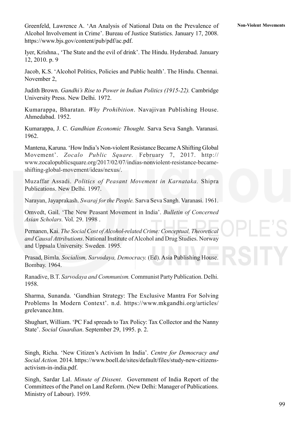Greenfeld, Lawrence A. 'An Analysis of National Data on the Prevalence of **Non-Violent Movements** Alcohol Involvement in Crime'. Bureau of Justice Statistics. January 17, 2008. https://www.bjs.gov/content/pub/pdf/ac.pdf.

Iyer, Krishna., 'The State and the evil of drink'. The Hindu. Hyderabad. January 12, 2010. p. 9

Jacob, K.S. 'Alcohol Politics, Policies and Public health'. The Hindu. Chennai. November 2,

Judith Brown. *Gandhi's Rise to Power in Indian Politics (1915-22).* Cambridge University Press. New Delhi. 1972.

Kumarappa, Bharatan. *Why Prohibition*. Navajivan Publishing House. Ahmedabad. 1952.

Kumarappa, J. C. *Gandhian Economic Thought.* Sarva Seva Sangh. Varanasi. 1962.

Mantena, Karuna. 'How India's Non-violent Resistance Became A Shifting Global Movement'. *Zocalo Public Square.* February 7, 2017. http:// www.zocalopublicsquare.org/2017/02/07/indias-nonviolent-resistance-becameshifting-global-movement/ideas/nexus/.

Muzaffar Assadi. *Politics of Peasant Movement in Karnataka.* Shipra Publications. New Delhi. 1997.

Narayan, Jayaprakash. *Swaraj for the People.* Sarva Seva Sangh. Varanasi. 1961.

Omvedt, Gail. 'The New Peasant Movement in India'. *Bulletin of Concerned Asian Scholars.* Vol. 29. 1998 .

Pernanen, Kai. *The Social Cost of Alcohol-related Crime: Conceptual, Theoretical and Causal Attributions*. National Institute of Alcohol and Drug Studies. Norway and Uppsala University. Sweden. 1995.

Prasad, Bimla. *Socialism, Sarvodaya, Democracy.* (Ed). Asia Publishing House. Bombay. 1964.

Ranadive, B.T. *Sarvodaya and Communism.* Communist Party Publication. Delhi. 1958.

Sharma, Sunanda. 'Gandhian Strategy: The Exclusive Mantra For Solving Problems In Modern Context'. n.d. https://www.mkgandhi.org/articles/ grelevance.htm.

Shughart, William. 'PC Fad spreads to Tax Policy: Tax Collector and the Nanny State'. *Social Guardian*. September 29, 1995. p. 2.

Singh, Richa. 'New Citizen's Activism In India'. *Centre for Democracy and Social Action.* 2014. https://www.boell.de/sites/default/files/study-new-citizensactivism-in-india.pdf.

Singh, Sardar Lal. *Minute of Dissent*. Government of India Report of the Committees of the Panel on Land Reform. (New Delhi: Manager of Publications. Ministry of Labour). 1959.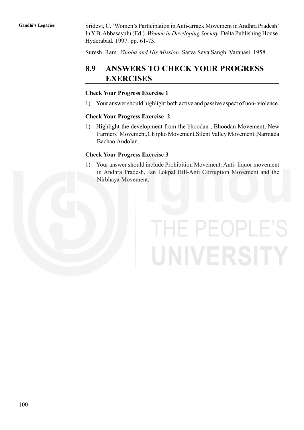Gandhi's Legacies Sridevi, C. 'Women's Participation in Anti-arrack Movement in Andhra Pradesh' In Y.B. Abbasayulu (Ed.). *Women in Developing Society*. Delta Publishing House. Hyderabad. 1997. pp. 61-73.

Suresh, Ram. *Vinoba and His Mission.* Sarva Seva Sangh. Varanasi. 1958.

# **8.9 ANSWERS TO CHECK YOUR PROGRESS EXERCISES**

### **Check Your Progress Exercise 1**

1) Your answer should highlight both active and passive aspect of non- violence.

### **Check Your Progress Exercise 2**

1) Highlight the development from the bhoodan , Bhoodan Movement, New Farmers' Movement,Ch ipko Movement,Silent Valley Movement ,Narmada Bachao Andolan.

### **Check Your Progress Exercise 3**

1) Your answer should include Prohibition Movement: Anti- liquor movement in Andhra Pradesh, Jan Lokpal Bill-Anti Corruption Movement and the Nirbhaya Movement.

# THE PEOPLE'S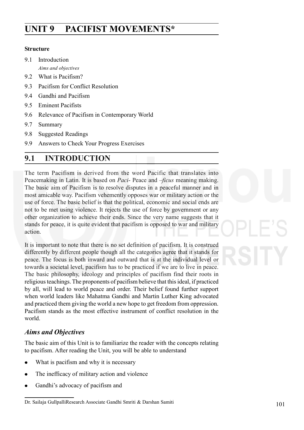# **UNIT 9 PACIFIST MOVEMENTS\***

### **Structure**

9.1 Introduction

*Aims and objectives*

- 9.2 What is Pacifism?
- 9.3 Pacifism for Conflict Resolution
- 9.4 Gandhi and Pacifism
- 9.5 Eminent Pacifists
- 9.6 Relevance of Pacifism in Contemporary World
- 9.7 Summary
- 9.8 Suggested Readings
- 9.9 Answers to Check Your Progress Exercises

# **9.1 INTRODUCTION**

The term Pacifism is derived from the word Pacific that translates into Peacemaking in Latin. It is based on *Paci*- Peace and –*ficus* meaning making. The basic aim of Pacifism is to resolve disputes in a peaceful manner and in most amicable way. Pacifism vehemently opposes war or military action or the use of force. The basic belief is that the political, economic and social ends are not to be met using violence. It rejects the use of force by government or any other organization to achieve their ends. Since the very name suggests that it stands for peace, it is quite evident that pacifism is opposed to war and military action.

It is important to note that there is no set definition of pacifism. It is construed differently by different people though all the categories agree that it stands for peace. The focus is both inward and outward that is at the individual level or towards a societal level, pacifism has to be practiced if we are to live in peace. The basic philosophy, ideology and principles of pacifism find their roots in religious teachings. The proponents of pacifism believe that this ideal, if practiced by all, will lead to world peace and order. Their belief found further support when world leaders like Mahatma Gandhi and Martin Luther King advocated and practiced them giving the world a new hope to get freedom from oppression. Pacifism stands as the most effective instrument of conflict resolution in the world.

### *Aims and Objectives*

The basic aim of this Unit is to familiarize the reader with the concepts relating to pacifism. After reading the Unit, you will be able to understand

- What is pacifism and why it is necessary
- The inefficacy of military action and violence
- Gandhi's advocacy of pacifism and

Dr. Sailaja GullpalliResearch Associate Gandhi Smriti & Darshan Samiti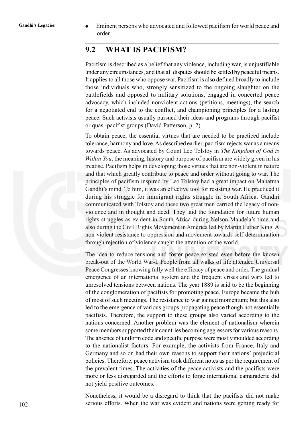Gandhi's Legacies **Eminent persons who advocated and followed pacifism for world peace and** order.

# **9.2 WHAT IS PACIFISM?**

Pacifism is described as a belief that any violence, including war, is unjustifiable under any circumstances, and that all disputes should be settled by peaceful means. It applies to all those who oppose war. Pacifism is also defined broadly to include those individuals who, strongly sensitized to the ongoing slaughter on the battlefields and opposed to military solutions, engaged in concerted peace advocacy, which included nonviolent actions (petitions, meetings), the search for a negotiated end to the conflict, and championing principles for a lasting peace. Such activists usually pursued their ideas and programs through pacifist or quasi-pacifist groups (David Patterson, p. 2).

To obtain peace, the essential virtues that are needed to be practiced include tolerance, harmony and love. As described earlier, pacifism rejects war as a means towards peace. As advocated by Count Leo Tolstoy in *The Kingdom of God is Within You*, the meaning, history and purpose of pacifism are widely given in his treatise. Pacifism helps in developing those virtues that are non-violent in nature and that which greatly contribute to peace and order without going to war. The principles of pacifism inspired by Leo Tolstoy had a great impact on Mahatma Gandhi's mind. To him, it was an effective tool for resisting war. He practiced it during his struggle for immigrant rights struggle in South Africa. Gandhi communicated with Tolstoy and these two great men carried the legacy of nonviolence and in thought and deed. They laid the foundation for future human rights struggles as evident in South Africa during Nelson Mandela's time and also during the Civil Rights Movement in America led by Martin Luther King. A non-violent resistance to oppression and movement towards self-determination through rejection of violence caught the attention of the world.

The idea to reduce tensions and foster peace existed even before the known break-out of the World War-I. People from all walks of life attended Universal Peace Congresses knowing fully well the efficacy of peace and order. The gradual emergence of an international system and the frequent crises and wars led to unresolved tensions between nations. The year 1889 is said to be the beginning of the conglomeration of pacifists for promoting peace. Europe became the hub of most of such meetings. The resistance to war gained momentum; but this also led to the emergence of various groups propagating peace though not essentially pacifists. Therefore, the support to these groups also varied according to the nations concerned. Another problem was the element of nationalism wherein some members supported their countries becoming aggressors for various reasons. The absence of uniform code and specific purpose were mostly moulded according to the nationalist factors. For example, the activists from France, Italy and Germany and so on had their own reasons to support their nations' prejudicial policies. Therefore, peace activism took different notes as per the requirement of the prevalent times. The activities of the peace activists and the pacifists were more or less disregarded and the efforts to forge international camaraderie did not yield positive outcomes.

Nonetheless, it would be a disregard to think that the pacifists did not make serious efforts. When the war was evident and nations were getting ready for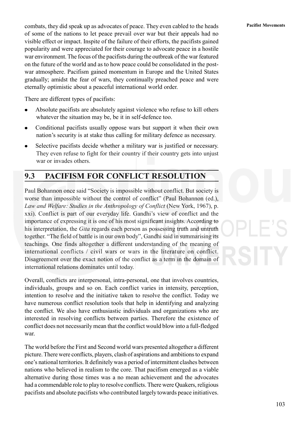**Pacifist Movements** combats, they did speak up as advocates of peace. They even cabled to the heads of some of the nations to let peace prevail over war but their appeals had no visible effect or impact. Inspite of the failure of their efforts, the pacifists gained popularity and were appreciated for their courage to advocate peace in a hostile war environment. The focus of the pacifists during the outbreak of the war featured on the future of the world and as to how peace could be consolidated in the postwar atmosphere. Pacifism gained momentum in Europe and the United States gradually; amidst the fear of wars, they continually preached peace and were eternally optimistic about a peaceful international world order.

There are different types of pacifists:

- Absolute pacifists are absolutely against violence who refuse to kill others whatever the situation may be, be it in self-defence too.
- Conditional pacifists usually oppose wars but support it when their own nation's security is at stake thus calling for military defence as necessary.
- Selective pacifists decide whether a military war is justified or necessary. They even refuse to fight for their country if their country gets into unjust war or invades others.

# **9.3 PACIFISM FOR CONFLICT RESOLUTION**

Paul Bohannon once said "Society is impossible without conflict. But society is worse than impossible without the control of conflict" (Paul Bohannon (ed.), *Law and Welfare: Studies in the Anthropology of Conflict* (New York, 1967), p. xxi). Conflict is part of our everyday life. Gandhi's view of conflict and the importance of expressing it is one of his most significant insights. According to his interpretation, the *Gita* regards each person as possessing truth and untruth together. "The field of battle is in our own body", Gandhi said in summarising its teachings. One finds altogether a different understanding of the meaning of international conflicts / civil wars or wars in the literature on conflict. Disagreement over the exact notion of the conflict as a term in the domain of international relations dominates until today.

Overall, conflicts are interpersonal, intra-personal, one that involves countries, individuals, groups and so on. Each conflict varies in intensity, perception, intention to resolve and the initiative taken to resolve the conflict. Today we have numerous conflict resolution tools that help in identifying and analyzing the conflict. We also have enthusiastic individuals and organizations who are interested in resolving conflicts between parties. Therefore the existence of conflict does not necessarily mean that the conflict would blow into a full-fledged war.

The world before the First and Second world wars presented altogether a different picture. There were conflicts, players, clash of aspirations and ambitions to expand one's national territories. It definitely was a period of intermittent clashes between nations who believed in realism to the core. That pacifism emerged as a viable alternative during those times was a no mean achievement and the advocates had a commendable role to play to resolve conflicts. There were Quakers, religious pacifists and absolute pacifists who contributed largely towards peace initiatives.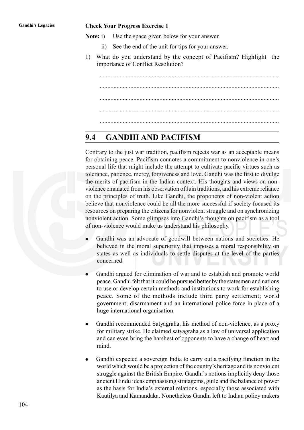### **Gandhi's Legacies Check Your Progress Exercise 1**

- **Note:** i) Use the space given below for your answer.
	- ii) See the end of the unit for tips for your answer.
- 1) What do you understand by the concept of Pacifism? Highlight the importance of Conflict Resolution?

..................................................................................................................... ..................................................................................................................... ..................................................................................................................... .....................................................................................................................

# **9.4 GANDHI AND PACIFISM**

Contrary to the just war tradition, pacifism rejects war as an acceptable means for obtaining peace. Pacifism connotes a commitment to nonviolence in one's personal life that might include the attempt to cultivate pacific virtues such as tolerance, patience, mercy, forgiveness and love. Gandhi was the first to divulge the merits of pacifism in the Indian context. His thoughts and views on nonviolence emanated from his observation of Jain traditions, and his extreme reliance on the principles of truth. Like Gandhi, the proponents of non-violent action believe that nonviolence could be all the more successful if society focused its resources on preparing the citizens for nonviolent struggle and on synchronizing nonviolent action. Some glimpses into Gandhi's thoughts on pacifism as a tool of non-violence would make us understand his philosophy.

- Gandhi was an advocate of goodwill between nations and societies. He believed in the moral superiority that imposes a moral responsibility on states as well as individuals to settle disputes at the level of the parties concerned.
- Gandhi argued for elimination of war and to establish and promote world peace. Gandhi felt that it could be pursued better by the statesmen and nations to use or develop certain methods and institutions to work for establishing peace. Some of the methods include third party settlement; world government; disarmament and an international police force in place of a huge international organisation.
- Gandhi recommended Satyagraha, his method of non-violence, as a proxy for military strike. He claimed satyagraha as a law of universal application and can even bring the harshest of opponents to have a change of heart and mind.
- Gandhi expected a sovereign India to carry out a pacifying function in the world which would be a projection of the country's heritage and its nonviolent struggle against the British Empire. Gandhi's notions implicitly deny those ancient Hindu ideas emphasising stratagems, guile and the balance of power as the basis for India's external relations, especially those associated with Kautilya and Kamandaka. Nonetheless Gandhi left to Indian policy makers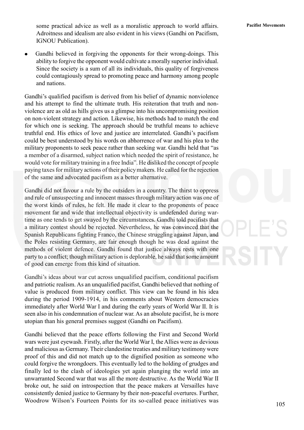**Pacifist Movements** some practical advice as well as a moralistic approach to world affairs. Adroitness and idealism are also evident in his views (Gandhi on Pacifism, IGNOU Publication).

Gandhi believed in forgiving the opponents for their wrong-doings. This ability to forgive the opponent would cultivate a morally superior individual. Since the society is a sum of all its individuals, this quality of forgiveness could contagiously spread to promoting peace and harmony among people and nations.

Gandhi's qualified pacifism is derived from his belief of dynamic nonviolence and his attempt to find the ultimate truth. His reiteration that truth and nonviolence are as old as hills gives us a glimpse into his uncompromising position on non-violent strategy and action. Likewise, his methods had to match the end for which one is seeking. The approach should be truthful means to achieve truthful end. His ethics of love and justice are interrelated. Gandhi's pacifism could be best understood by his words on abhorrence of war and his plea to the military proponents to seek peace rather than seeking war. Gandhi held that "as a member of a disarmed, subject nation which needed the spirit of resistance, he would vote for military training in a free India". He disliked the concept of people paying taxes for military actions of their policy makers. He called for the rejection of the same and advocated pacifism as a better alternative.

Gandhi did not favour a rule by the outsiders in a country. The thirst to oppress and rule of unsuspecting and innocent masses through military action was one of the worst kinds of rules, he felt. He made it clear to the proponents of peace movement far and wide that intellectual objectivity is undefended during wartime as one tends to get swayed by the circumstances. Gandhi told pacifists that a military contest should be rejected. Nevertheless, he was convinced that the Spanish Republicans fighting Franco, the Chinese struggling against Japan, and the Poles resisting Germany, are fair enough though he was dead against the methods of violent defence. Gandhi found that justice always rests with one party to a conflict; though military action is deplorable, he said that some amount of good can emerge from this kind of situation.

Gandhi's ideas about war cut across unqualified pacifism, conditional pacifism and patriotic realism. As an unqualified pacifist, Gandhi believed that nothing of value is produced from military conflict. This view can be found in his idea during the period 1909-1914, in his comments about Western democracies immediately after World War I and during the early years of World War II. It is seen also in his condemnation of nuclear war. As an absolute pacifist, he is more utopian than his general premises suggest (Gandhi on Pacifism).

Gandhi believed that the peace efforts following the First and Second World wars were just eyewash. Firstly, after the World War I, the Allies were as devious and malicious as Germany. Their clandestine treaties and military testimony were proof of this and did not match up to the dignified position as someone who could forgive the wrongdoers. This eventually led to the holding of grudges and finally led to the clash of ideologies yet again plunging the world into an unwarranted Second war that was all the more destructive. As the World War II broke out, he said on introspection that the peace makers at Versailles have consistently denied justice to Germany by their non-peaceful overtures. Further, Woodrow Wilson's Fourteen Points for its so-called peace initiatives was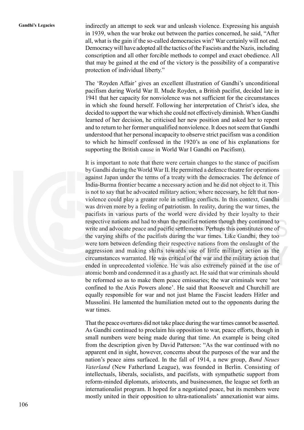**Gandhi's Legacies** indirectly an attempt to seek war and unleash violence. Expressing his anguish in 1939, when the war broke out between the parties concerned, he said, "After all, what is the gain if the so-called democracies win? War certainly will not end. Democracy will have adopted all the tactics of the Fascists and the Nazis, including conscription and all other forcible methods to compel and exact obedience. All that may be gained at the end of the victory is the possibility of a comparative protection of individual liberty."

> The 'Royden Affair' gives an excellent illustration of Gandhi's unconditional pacifism during World War II. Mude Royden, a British pacifist, decided late in 1941 that her capacity for nonviolence was not sufficient for the circumstances in which she found herself. Following her interpretation of Christ's idea, she decided to support the war which she could not effectively diminish. When Gandhi learned of her decision, he criticised her new position and asked her to repent and to return to her former unqualified nonviolence. It does not seem that Gandhi understood that her personal incapacity to observe strict pacifism was a condition to which he himself confessed in the 1920's as one of his explanations for supporting the British cause in World War I Gandhi on Pacifism).

> It is important to note that there were certain changes to the stance of pacifism by Gandhi during the World War II. He permitted a defence theatre for operations against Japan under the terms of a treaty with the democracies. The defence of India-Burma frontier became a necessary action and he did not object to it. This is not to say that he advocated military action; where necessary, he felt that nonviolence could play a greater role in settling conflicts. In this context, Gandhi was driven more by a feeling of patriotism. In reality, during the war times, the pacifists in various parts of the world were divided by their loyalty to their respective nations and had to shun the pacifist notions though they continued to write and advocate peace and pacific settlements. Perhaps this constitutes one of the varying shifts of the pacifists during the war times. Like Gandhi, they too were torn between defending their respective nations from the onslaught of the aggression and making shifts towards use of little military action as the circumstances warranted. He was critical of the war and the military action that ended in unprecedented violence. He was also extremely pained at the use of atomic bomb and condemned it as a ghastly act. He said that war criminals should be reformed so as to make them peace emissaries; the war criminals were 'not confined to the Axis Powers alone'. He said that Roosevelt and Churchill are equally responsible for war and not just blame the Fascist leaders Hitler and Mussolini. He lamented the humiliation meted out to the opponents during the war times.

> That the peace overtures did not take place during the war times cannot be asserted. As Gandhi continued to proclaim his opposition to war, peace efforts, though in small numbers were being made during that time. An example is being cited from the description given by David Patterson: "As the war continued with no apparent end in sight, however, concerns about the purposes of the war and the nation's peace aims surfaced. In the fall of 1914, a new group, *Bund Neues Vaterland* (New Fatherland League), was founded in Berlin. Consisting of intellectuals, liberals, socialists, and pacifists, with sympathetic support from reform-minded diplomats, aristocrats, and businessmen, the league set forth an internationalist program. It hoped for a negotiated peace, but its members were mostly united in their opposition to ultra-nationalists' annexationist war aims.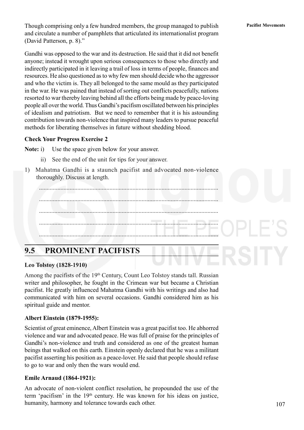Though comprising only a few hundred members, the group managed to publish **Pacifist Movements** and circulate a number of pamphlets that articulated its internationalist program (David Patterson, p. 8)."

Gandhi was opposed to the war and its destruction. He said that it did not benefit anyone; instead it wrought upon serious consequences to those who directly and indirectly participated in it leaving a trail of loss in terms of people, finances and resources. He also questioned as to why few men should decide who the aggressor and who the victim is. They all belonged to the same mould as they participated in the war. He was pained that instead of sorting out conflicts peacefully, nations resorted to war thereby leaving behind all the efforts being made by peace-loving people all over the world. Thus Gandhi's pacifism oscillated between his principles of idealism and patriotism. But we need to remember that it is his astounding contribution towards non-violence that inspired many leaders to pursue peaceful methods for liberating themselves in future without shedding blood.

### **Check Your Progress Exercise 2**

**Note:** i) Use the space given below for your answer.

- ii) See the end of the unit for tips for your answer.
- 1) Mahatma Gandhi is a staunch pacifist and advocated non-violence thoroughly. Discuss at length.



# **9.5 PROMINENT PACIFISTS**

### **Leo Tolstoy (1828-1910)**

Among the pacifists of the 19<sup>th</sup> Century, Count Leo Tolstoy stands tall. Russian writer and philosopher, he fought in the Crimean war but became a Christian pacifist. He greatly influenced Mahatma Gandhi with his writings and also had communicated with him on several occasions. Gandhi considered him as his spiritual guide and mentor.

### **Albert Einstein (1879-1955):**

Scientist of great eminence, Albert Einstein was a great pacifist too. He abhorred violence and war and advocated peace. He was full of praise for the principles of Gandhi's non-violence and truth and considered as one of the greatest human beings that walked on this earth. Einstein openly declared that he was a militant pacifist asserting his position as a peace-lover. He said that people should refuse to go to war and only then the wars would end.

### **Emile Arnaud (1864-1921):**

An advocate of non-violent conflict resolution, he propounded the use of the term 'pacifism' in the 19<sup>th</sup> century. He was known for his ideas on justice, humanity, harmony and tolerance towards each other.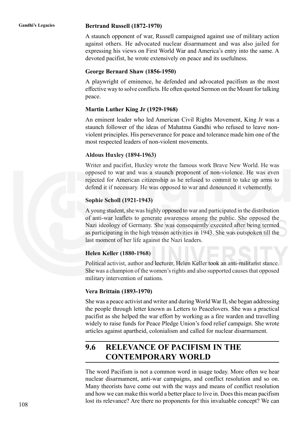### **Gandhi's Legacies Bertrand Russell (1872-1970)**

A staunch opponent of war, Russell campaigned against use of military action against others. He advocated nuclear disarmament and was also jailed for expressing his views on First World War and America's entry into the same. A devoted pacifist, he wrote extensively on peace and its usefulness.

### **George Bernard Shaw (1856-1950)**

A playwright of eminence, he defended and advocated pacifism as the most effective way to solve conflicts. He often quoted Sermon on the Mount for talking peace.

### **Martin Luther King Jr (1929-1968)**

An eminent leader who led American Civil Rights Movement, King Jr was a staunch follower of the ideas of Mahatma Gandhi who refused to leave nonviolent principles. His perseverance for peace and tolerance made him one of the most respected leaders of non-violent movements.

### **Aldous Huxley (1894-1963)**

Writer and pacifist, Huxley wrote the famous work Brave New World. He was opposed to war and was a staunch proponent of non-violence. He was even rejected for American citizenship as he refused to commit to take up arms to defend it if necessary. He was opposed to war and denounced it vehemently.

### **Sophie Scholl (1921-1943)**

A young student, she was highly opposed to war and participated in the distribution of anti-war leaflets to generate awareness among the public. She opposed the Nazi ideology of Germany. She was consequently executed after being termed as participating in the high treason activities in 1943. She was outspoken till the last moment of her life against the Nazi leaders.

### **Helen Keller (1880-1968)**

Political activist, author and lecturer, Helen Keller took an anti-militarist stance. She was a champion of the women's rights and also supported causes that opposed military intervention of nations.

### **Vera Brittain (1893-1970)**

She was a peace activist and writer and during World War II, she began addressing the people through letter known as Letters to Peacelovers. She was a practical pacifist as she helped the war effort by working as a fire warden and travelling widely to raise funds for Peace Pledge Union's food relief campaign. She wrote articles against apartheid, colonialism and called for nuclear disarmament.

# **9.6 RELEVANCE OF PACIFISM IN THE CONTEMPORARY WORLD**

The word Pacifism is not a common word in usage today. More often we hear nuclear disarmament, anti-war campaigns, and conflict resolution and so on. Many theorists have come out with the ways and means of conflict resolution and how we can make this world a better place to live in. Does this mean pacifism lost its relevance? Are there no proponents for this invaluable concept? We can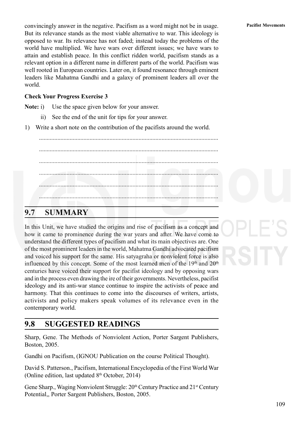convincingly answer in the negative. Pacifism as a word might not be in usage. **Pacifist Movements** But its relevance stands as the most viable alternative to war. This ideology is opposed to war. Its relevance has not faded; instead today the problems of the world have multiplied. We have wars over different issues; we have wars to attain and establish peace. In this conflict ridden world, pacifism stands as a relevant option in a different name in different parts of the world. Pacifism was well rooted in European countries. Later on, it found resonance through eminent leaders like Mahatma Gandhi and a galaxy of prominent leaders all over the world.

### **Check Your Progress Exercise 3**

**Note:** i) Use the space given below for your answer.

- ii) See the end of the unit for tips for your answer.
- 1) Write a short note on the contribution of the pacifists around the world.

..................................................................................................................... ..................................................................................................................... ..................................................................................................................... ..................................................................................................................... ..................................................................................................................... .....................................................................................................................

# **9.7 SUMMARY**

In this Unit, we have studied the origins and rise of pacifism as a concept and how it came to prominence during the war years and after. We have come to understand the different types of pacifism and what its main objectives are. One of the most prominent leaders in the world, Mahatma Gandhi advocated pacifism and voiced his support for the same. His satyagraha or nonviolent force is also influenced by this concept. Some of the most learned men of the  $19<sup>th</sup>$  and  $20<sup>th</sup>$ centuries have voiced their support for pacifist ideology and by opposing wars and in the process even drawing the ire of their governments. Nevertheless, pacifist ideology and its anti-war stance continue to inspire the activists of peace and harmony. That this continues to come into the discourses of writers, artists, activists and policy makers speak volumes of its relevance even in the contemporary world.

# **9.8 SUGGESTED READINGS**

Sharp, Gene. The Methods of Nonviolent Action, Porter Sargent Publishers, Boston, 2005.

Gandhi on Pacifism, (IGNOU Publication on the course Political Thought).

David S. Patterson., Pacifism, International Encyclopedia of the First World War (Online edition, last updated  $8<sup>th</sup>$  October, 2014)

Gene Sharp., Waging Nonviolent Struggle: 20<sup>th</sup> Century Practice and 21<sup>st</sup> Century Potential,, Porter Sargent Publishers, Boston, 2005.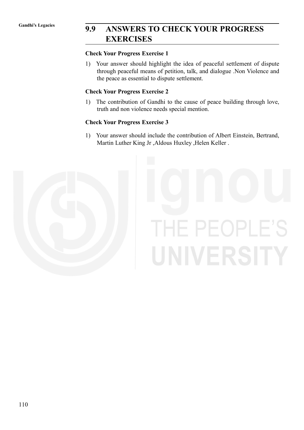# **Gandhi's Legacies 9.9 ANSWERS TO CHECK YOUR PROGRESS EXERCISES**

### **Check Your Progress Exercise 1**

1) Your answer should highlight the idea of peaceful settlement of dispute through peaceful means of petition, talk, and dialogue .Non Violence and the peace as essential to dispute settlement.

### **Check Your Progress Exercise 2**

1) The contribution of Gandhi to the cause of peace building through love, truth and non violence needs special mention.

### **Check Your Progress Exercise 3**

1) Your answer should include the contribution of Albert Einstein, Bertrand, Martin Luther King Jr ,Aldous Huxley ,Helen Keller .



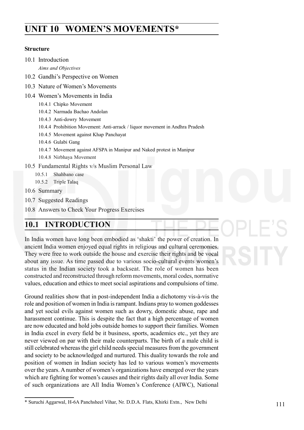# **PACIFIST MOVEMENTS\***

### **Structure**

10.1 Introduction

*Aims and Objectives*

- 10.2 Gandhi's Perspective on Women
- 10.3 Nature of Women's Movements
- 10.4 Women's Movements in India
	- 10.4.1 Chipko Movement
	- 10.4.2 Narmada Bachao Andolan
	- 10.4.3 Anti-dowry Movement
	- 10.4.4 Prohibition Movement: Anti-arrack / liquor movement in Andhra Pradesh
	- 10.4.5 Movement against Khap Panchayat
	- 10.4.6 Gulabi Gang
	- 10.4.7 Movement against AFSPA in Manipur and Naked protest in Manipur
	- 10.4.8 Nirbhaya Movement
- 10.5 Fundamental Rights v/s Muslim Personal Law
	- 10.5.1 Shahbano case
	- 10.5.2 Triple Talaq
- 10.6 Summary
- 10.7 Suggested Readings
- 10.8 Answers to Check Your Progress Exercises

# **10.1 INTRODUCTION**

In India women have long been embodied as 'shakti' the power of creation. In ancient India women enjoyed equal rights in religious and cultural ceremonies. They were free to work outside the house and exercise their rights and be vocal about any issue. As time passed due to various socio-cultural events women's status in the Indian society took a backseat. The role of women has been constructed and reconstructed through reform movements, moral codes, normative values, education and ethics to meet social aspirations and compulsions of time.

Ground realities show that in post-independent India a dichotomy vis-à-vis the role and position of women in India is rampant. Indians pray to women goddesses and yet social evils against women such as dowry, domestic abuse, rape and harassment continue. This is despite the fact that a high percentage of women are now educated and hold jobs outside homes to support their families. Women in India excel in every field be it business, sports, academics etc., yet they are never viewed on par with their male counterparts. The birth of a male child is still celebrated whereas the girl child needs special measures from the government and society to be acknowledged and nurtured. This duality towards the role and position of women in Indian society has led to various women's movements over the years. A number of women's organizations have emerged over the years which are fighting for women's causes and their rights daily all over India. Some of such organizations are All India Women's Conference (AIWC), National

<sup>\*</sup> Suruchi Aggarwal, H-6A Panchsheel Vihar, Nr. D.D.A. Flats, Khirki Extn., New Delhi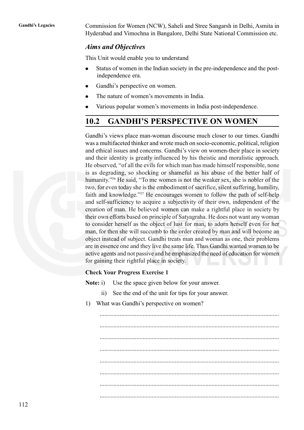**Gandhi's Legacies** Commission for Women (NCW), Saheli and Stree Sangarsh in Delhi, Asmita in Hyderabad and Vimochna in Bangalore, Delhi State National Commission etc.

### *Aims and Objectives*

This Unit would enable you to understand

- Status of women in the Indian society in the pre-independence and the post- $\bullet$ independence era.
- Gandhi's perspective on women.
- The nature of women's movements in India.
- Various popular women's movements in India post-independence.

### **10.2 GANDHI'S PERSPECTIVE ON WOMEN**

Gandhi's views place man-woman discourse much closer to our times. Gandhi was a multifaceted thinker and wrote much on socio-economic, political, religion and ethical issues and concerns. Gandhi's view on women-their place in society and their identity is greatly influenced by his theistic and moralistic approach. He observed, "of all the evils for which man has made himself responsible, none is as degrading, so shocking or shameful as his abuse of the better half of humanity."56 He said, "To me women is not the weaker sex, she is nobler of the two, for even today she is the embodiment of sacrifice, silent suffering, humility, faith and knowledge."57 He encourages women to follow the path of self-help and self-sufficiency to acquire a subjectivity of their own, independent of the creation of man. He believed women can make a rightful place in society by their own efforts based on principle of Satyagraha. He does not want any woman to consider herself as the object of lust for man, to adorn herself even for her man, for then she will succumb to the order created by man and will become an object instead of subject. Gandhi treats man and woman as one, their problems are in essence one and they live the same life. Thus Gandhi wanted women to be active agents and not passive and he emphasized the need of education for women for gaining their rightful place in society.

### **Check Your Progress Exercise 1**

**Note:** i) Use the space given below for your answer.

- ii) See the end of the unit for tips for your answer.
- 1) What was Gandhi's perspective on women?

..................................................................................................................... ..................................................................................................................... ..................................................................................................................... ..................................................................................................................... ..................................................................................................................... .....................................................................................................................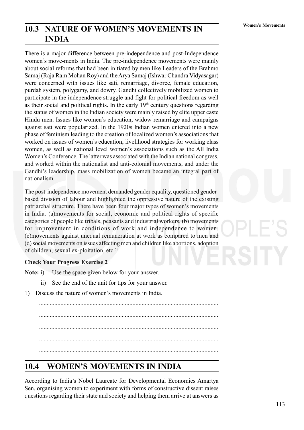# **10.3 NATURE OF WOMEN'S MOVEMENTS IN** Women's Movements **INDIA**

There is a major difference between pre-independence and post-Independence women's move-ments in India. The pre-independence movements were mainly about social reforms that had been initiated by men like Leaders of the Brahmo Samaj (Raja Ram Mohan Roy) and the Arya Samaj (Ishwar Chandra Vidyasagar) were concerned with issues like sati, remarriage, divorce, female education, purdah system, polygamy, and dowry. Gandhi collectively mobilized women to participate in the independence struggle and fight for political freedom as well as their social and political rights. In the early  $19<sup>th</sup>$  century questions regarding the status of women in the Indian society were mainly raised by elite upper caste Hindu men. Issues like women's education, widow remarriage and campaigns against sati were popularized. In the 1920s Indian women entered into a new phase of feminism leading to the creation of localized women's associations that worked on issues of women's education, livelihood strategies for working class women, as well as national level women's associations such as the All India Women's Conference. The latter was associated with the Indian national congress, and worked within the nationalist and anti-colonial movements, and under the Gandhi's leadership, mass mobilization of women became an integral part of nationalism.

The post-independence movement demanded gender equality, questioned genderbased division of labour and highlighted the oppressive nature of the existing patriarchal structure. There have been four major types of women's movements in India. (a)movements for social, economic and political rights of specific categories of people like tribals, peasants and industrial workers, (b) movements for improvement in conditions of work and independence to women, (c)movements against unequal remuneration at work as compared to men and (d) social movements on issues affecting men and children like abortions, adoption of children, sexual ex-ploitation, etc.58

### **Check Your Progress Exercise 2**

**Note:** i) Use the space given below for your answer.

- ii) See the end of the unit for tips for your answer.
- 1) Discuss the nature of women's movements in India.

..................................................................................................................... ..................................................................................................................... ..................................................................................................................... .....................................................................................................................

# **10.4 WOMEN'S MOVEMENTS IN INDIA**

According to India's Nobel Laureate for Developmental Economics Amartya Sen, organising women to experiment with forms of constructive dissent raises questions regarding their state and society and helping them arrive at answers as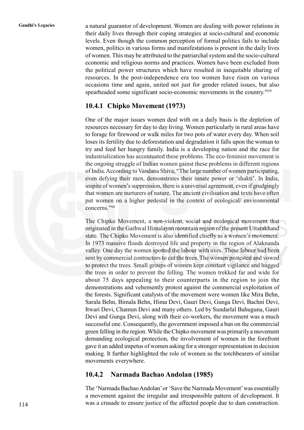Gandhi's Legacies a natural guarantor of development. Women are dealing with power relations in their daily lives through their coping strategies at socio-cultural and economic levels. Even though the common perception of formal politics fails to include women, politics in various forms and manifestations is present in the daily lives of women. This may be attributed to the patriarchal system and the socio-cultural economic and religious norms and practices. Women have been excluded from the political power structures which have resulted in inequitable sharing of resources. In the post-independence era too women have risen on various occasions time and again, united not just for gender related issues, but also spearheaded some significant socio-economic movements in the country.<sup>5959</sup>

### **10.4.1 Chipko Movement (1973)**

One of the major issues women deal with on a daily basis is the depletion of resources necessary for day to day living. Women particularly in rural areas have to forage for firewood or walk miles for two pots of water every day. When soil loses its fertility due to deforestation and degradation it falls upon the woman to try and feed her hungry family. India is a developing nation and the race for industrialization has accentuated these problems. The eco-feminist movement is the ongoing struggle of Indian women gainst these problems in different regions of India. According to Vandana Shiva, "The large number of women participating, even defying their men, demonstrates their innate power or 'shakti'. In India, inspite of women's suppression, there is a universal agreement, even if grudgingly that women are nurturers of nature. The ancient civilisation and texts have often put women on a higher pedestal in the context of ecological/ environmental concerns."60

The Chipko Movement, a non-violent, social and ecological movement that originated in the Garhwal Himalayan mountain region of the present Uttarakhand state. The Chipko Movement is also identified chiefly as a women's movement. In 1973 massive floods destroyed life and property in the region of Alaknanda valley. One day the women spotted the labour with axes. These labour had been sent by commercial contractors to cut the trees. The women protested and vowed to protect the trees. Small groups of women kept constant vigilance and hugged the trees in order to prevent the felling. The women trekked far and wide for about 75 days appealing to their counterparts in the region to join the demonstrations and vehemently protest against the commercial exploitation of the forests. Significant catalysts of the movement were women like Mira Behn, Sarala Behn, Bimala Behn, Hima Devi, Gauri Devi, Gunga Devi, Bachni Devi, Itwari Devi, Chamun Devi and many others. Led by Sundarlal Bahuguna, Gauri Devi and Gunga Devi, along with their co-workers, the movement was a much successful one. Consequently, the government imposed a ban on the commercial green felling in the region. While the Chipko movement was primarily a movement demanding ecological protection, the involvement of women in the forefront gave it an added impetus of women asking for a stronger representation in decision making. It further highlighted the role of women as the torchbearers of similar movements everywhere.

### **10.4.2 Narmada Bachao Andolan (1985)**

The 'Narmada Bachao Andolan' or 'Save the Narmada Movement' was essentially a movement against the irregular and irresponsible pattern of development. It was a crusade to ensure justice of the affected people due to dam construction.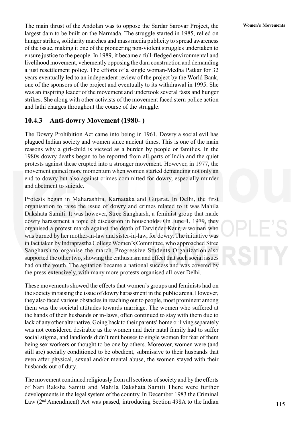The main thrust of the Andolan was to oppose the Sardar Sarovar Project, the **Women's Movements** largest dam to be built on the Narmada. The struggle started in 1985, relied on hunger strikes, solidarity marches and mass media publicity to spread awareness of the issue, making it one of the pioneering non-violent struggles undertaken to ensure justice to the people. In 1989, it became a full-fledged environmental and livelihood movement, vehemently opposing the dam construction and demanding a just resettlement policy. The efforts of a single woman-Medha Patkar for 32 years eventually led to an independent review of the project by the World Bank, one of the sponsors of the project and eventually to its withdrawal in 1995. She was an inspiring leader of the movement and undertook several fasts and hunger strikes. She along with other activists of the movement faced stern police action and lathi charges throughout the course of the struggle.

### **10.4.3 Anti-dowry Movement (1980- )**

The Dowry Prohibition Act came into being in 1961. Dowry a social evil has plagued Indian society and women since ancient times. This is one of the main reasons why a girl-child is viewed as a burden by people or families. In the 1980s dowry deaths began to be reported from all parts of India and the quiet protests against these erupted into a stronger movement. However, in 1977, the movement gained more momentum when women started demanding not only an end to dowry but also against crimes committed for dowry, especially murder and abetment to suicide.

Protests began in Maharashtra, Karnataka and Gujarat. In Delhi, the first organisation to raise the issue of dowry and crimes related to it was Mahila Dakshata Samiti. It was however, Stree Sangharsh, a feminist group that made dowry harassment a topic of discussion in households. On June 1, 1979, they organised a protest march against the death of Tarvinder Kaur, a woman who was burned by her mother-in-law and sister-in-law, for dowry. The initiative was in fact taken by Indraprastha College Women's Committee, who approached Stree Sangharsh to organise the march. Progressive Students Organization also supported the other two, showing the enthusiasm and effect that such social issues had on the youth. The agitation became a national success and was covered by the press extensively, with many more protests organised all over Delhi.

These movements showed the effects that women's groups and feminists had on the society in raising the issue of dowry harassment in the public arena. However, they also faced various obstacles in reaching out to people, most prominent among them was the societal attitudes towards marriage. The women who suffered at the hands of their husbands or in-laws, often continued to stay with them due to lack of any other alternative. Going back to their parents' home or living separately was not considered desirable as the women and their natal family had to suffer social stigma, and landlords didn't rent houses to single women for fear of them being sex workers or thought to be one by others. Moreover, women were (and still are) socially conditioned to be obedient, submissive to their husbands that even after physical, sexual and/or mental abuse, the women stayed with their husbands out of duty.

The movement continued religiously from all sections of society and by the efforts of Nari Raksha Samiti and Mahila Dakshata Samiti There were further developments in the legal system of the country. In December 1983 the Criminal Law  $(2<sup>nd</sup> Amendment)$  Act was passed, introducing Section 498A to the Indian

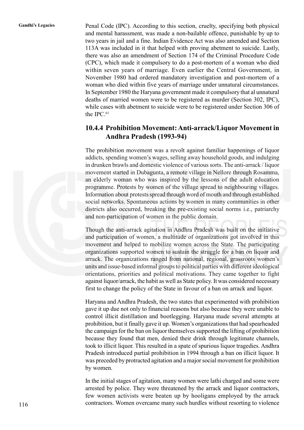Gandhi's Legacies Penal Code (IPC). According to this section, cruelty, specifying both physical and mental harassment, was made a non-bailable offence, punishable by up to two years in jail and a fine. Indian Evidence Act was also amended and Section 113A was included in it that helped with proving abetment to suicide. Lastly, there was also an amendment of Section 174 of the Criminal Procedure Code (CPC), which made it compulsory to do a post-mortem of a woman who died within seven years of marriage. Even earlier the Central Government, in November 1980 had ordered mandatory investigation and post-mortem of a woman who died within five years of marriage under unnatural circumstances. In September 1980 the Haryana government made it compulsory that al unnatural deaths of married women were to be registered as murder (Section 302, IPC), while cases with abetment to suicide were to be registered under Section 306 of the IPC.61

### **10.4.4 Prohibition Movement: Anti-arrack/Liquor Movement in Andhra Pradesh (1993-94)**

The prohibition movement was a revolt against familiar happenings of liquor addicts, spending women's wages, selling away household goods, and indulging in drunken brawls and domestic violence of various sorts. The anti-arrack / liquor movement started in Dubagunta, a remote village in Nellore through Rosamma, an elderly woman who was inspired by the lessons of the adult education programme. Protests by women of the village spread to neighbouring villages. Information about protests spread through word of mouth and through established social networks. Spontaneous actions by women in many communities in other districts also occurred, breaking the pre-existing social norms i.e., patriarchy and non-participation of women in the public domain.

Though the anti-arrack agitation in Andhra Pradesh was built on the initiative and participation of women, a multitude of organizations got involved in this movement and helped to mobilize women across the State. The participating organizations supported women to sustain the struggle for a ban on liquor and arrack. The organizations ranged from national, regional, grassroots women's units and issue-based informal groups to political parties with different ideological orientations, priorities and political motivations. They came together to fight against liquor/arrack, the habit as well as State policy. It was considered necessary first to change the policy of the State in favour of a ban on arrack and liquor.

Haryana and Andhra Pradesh, the two states that experimented with prohibition gave it up due not only to financial reasons but also because they were unable to control illicit distillation and bootlegging. Haryana made several attempts at prohibition, but it finally gave it up. Women's organizations that had spearheaded the campaign for the ban on liquor themselves supported the lifting of prohibition because they found that men, denied their drink through legitimate channels, took to illicit liquor. This resulted in a spate of spurious liquor tragedies. Andhra Pradesh introduced partial prohibition in 1994 through a ban on illicit liquor. It was preceded by protracted agitation and a major social movement for prohibition by women.

In the initial stages of agitation, many women were lathi charged and some were arrested by police. They were threatened by the arrack and liquor contractors, few women activists were beaten up by hooligans employed by the arrack contractors. Women overcame many such hurdles without resorting to violence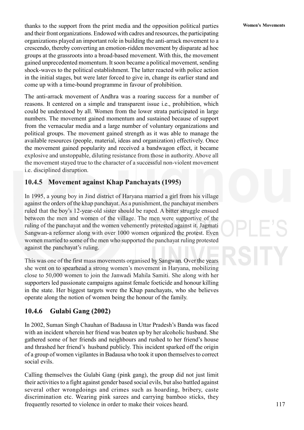**Women's Movements** thanks to the support from the print media and the opposition political parties and their front organizations. Endowed with cadres and resources, the participating organizations played an important role in building the anti-arrack movement to a crescendo, thereby converting an emotion-ridden movement by disparate ad hoc groups at the grassroots into a broad-based movement. With this, the movement gained unprecedented momentum. It soon became a political movement, sending shock-waves to the political establishment. The latter reacted with police action in the initial stages, but were later forced to give in, change its earlier stand and come up with a time-bound programme in favour of prohibition.

The anti-arrack movement of Andhra was a roaring success for a number of reasons. It centered on a simple and transparent issue i.e., prohibition, which could be understood by all. Women from the lower strata participated in large numbers. The movement gained momentum and sustained because of support from the vernacular media and a large number of voluntary organizations and political groups. The movement gained strength as it was able to manage the available resources (people, material, ideas and organization) effectively. Once the movement gained popularity and received a bandwagon effect, it became explosive and unstoppable, diluting resistance from those in authority. Above all the movement stayed true to the character of a successful non-violent movement i.e. disciplined disruption.

### **10.4.5 Movement against Khap Panchayats (1995)**

In 1995, a young boy in Jind district of Haryana married a girl from his village against the orders of the khap panchayat. As a punishment, the panchayat members ruled that the boy's 12-year-old sister should be raped. A bitter struggle ensued between the men and women of the village. The men were supportive of the ruling of the panchayat and the women vehemently protested against it. Jagmati Sangwan-a reformer along with over 1000 women organized the protest. Even women married to some of the men who supported the panchayat ruling protested against the panchayat's ruling.

This was one of the first mass movements organised by Sangwan. Over the years she went on to spearhead a strong women's movement in Haryana, mobilizing close to 50,000 women to join the Janwadi Mahila Samiti. She along with her supporters led passionate campaigns against female foeticide and honour killing in the state. Her biggest targets were the Khap panchayats, who she believes operate along the notion of women being the honour of the family.

### **10.4.6 Gulabi Gang (2002)**

In 2002, Suman Singh Chauhan of Badausa in Uttar Pradesh's Banda was faced with an incident wherein her friend was beaten up by her alcoholic husband. She gathered some of her friends and neighbours and rushed to her friend's house and thrashed her friend's husband publicly. This incident sparked off the origin of a group of women vigilantes in Badausa who took it upon themselves to correct social evils.

Calling themselves the Gulabi Gang (pink gang), the group did not just limit their activities to a fight against gender based social evils, but also battled against several other wrongdoings and crimes such as hoarding, bribery, caste discrimination etc. Wearing pink sarees and carrying bamboo sticks, they frequently resorted to violence in order to make their voices heard.

117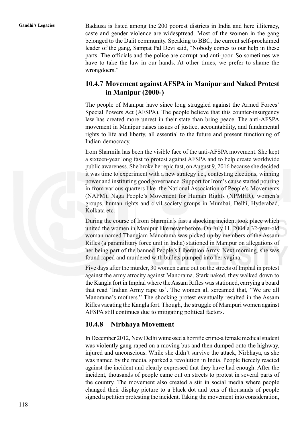Gandhi's Legacies Badausa is listed among the 200 poorest districts in India and here illiteracy, caste and gender violence are widesptread. Most of the women in the gang belonged to the Dalit community. Speaking to BBC, the current self-proclaimed leader of the gang, Sampat Pal Devi said, "Nobody comes to our help in these parts. The officials and the police are corrupt and anti-poor. So sometimes we have to take the law in our hands. At other times, we prefer to shame the wrongdoers."

### **10.4.7 Movement against AFSPA in Manipur and Naked Protest in Manipur (2000-)**

The people of Manipur have since long struggled against the Armed Forces' Special Powers Act (AFSPA). The people believe that this counter-insurgency law has created more unrest in their state than bring peace. The anti-AFSPA movement in Manipur raises issues of justice, accountability, and fundamental rights to life and liberty, all essential to the future and present functioning of Indian democracy.

Irom Sharmila has been the visible face of the anti-AFSPA movement. She kept a sixteen-year long fast to protest against AFSPA and to help create worldwide public awareness. She broke her epic fast, on August 9, 2016 because she decided it was time to experiment with a new strategy i.e., contesting elections, winning power and instituting good governance. Support for Irom's cause started pouring in from various quarters like the National Association of People's Movements (NAPM), Naga People's Movement for Human Rights (NPMHR), women's groups, human rights and civil society groups in Mumbai, Delhi, Hyderabad, Kolkata etc.

During the course of Irom Sharmila's fast a shocking incident took place which united the women in Manipur like never before. On July 11, 2004 a 32-year-old woman named Thangjam Manorama was picked up by members of the Assam Rifles (a paramilitary force unit in India) stationed in Manipur on allegations of her being part of the banned People's Liberation Army. Next morning, she was found raped and murdered with bullets pumped into her vagina.

Five days after the murder, 30 women came out on the streets of Imphal in protest against the army atrocity against Manorama. Stark naked, they walked down to the Kangla fort in Imphal where the Assam Rifles was stationed, carrying a board that read 'Indian Army rape us'. The women all screamed that, "We are all Manorama's mothers." The shocking protest eventually resulted in the Assam Rifles vacating the Kangla fort. Though, the struggle of Manipuri women against AFSPA still continues due to mitigating political factors.

### **10.4.8 Nirbhaya Movement**

In December 2012, New Delhi witnessed a horrific crime-a female medical student was violently gang-raped on a moving bus and then dumped onto the highway, injured and unconscious. While she didn't survive the attack, Nirbhaya, as she was named by the media, sparked a revolution in India. People fiercely reacted against the incident and clearly expressed that they have had enough. After the incident, thousands of people came out on streets to protest in several parts of the country. The movement also created a stir in social media where people changed their display picture to a black dot and tens of thousands of people signed a petition protesting the incident. Taking the movement into consideration,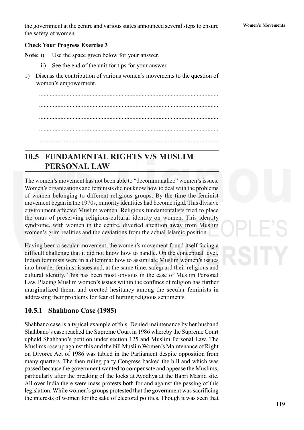the government at the centre and various states announced several steps to ensure **Women's Movements** the safety of women.

### **Check Your Progress Exercise 3**

**Note:** i) Use the space given below for your answer.

- ii) See the end of the unit for tips for your answer.
- 1) Discuss the contribution of various women's movements to the question of women's empowerment.

..................................................................................................................... ..................................................................................................................... ..................................................................................................................... ..................................................................................................................... .....................................................................................................................

# **10.5 FUNDAMENTAL RIGHTS V/S MUSLIM PERSONAL LAW**

The women's movement has not been able to "decommunalize" women's issues. Women's organizations and feminists did not know how to deal with the problems of women belonging to different religious groups. By the time the feminist movement began in the 1970s, minority identities had become rigid. This divisive environment affected Muslim women. Religious fundamentalists tried to place the onus of preserving religious-cultural identity on women. This identity syndrome, with women in the centre, diverted attention away from Muslim women's grim realities and the deviations from the actual Islamic position.

Having been a secular movement, the women's movement found itself facing a difficult challenge that it did not know how to handle. On the conceptual level, Indian feminists were in a dilemma: how to assimilate Muslim women's issues into broader feminist issues and, at the same time, safeguard their religious and cultural identity. This has been most obvious in the case of Muslim Personal Law. Placing Muslim women's issues within the confines of religion has further marginalized them, and created hesitancy among the secular feminists in addressing their problems for fear of hurting religious sentiments.

### **10.5.1 Shahbano Case (1985)**

Shahbano case is a typical example of this. Denied maintenance by her husband Shahbano's case reached the Supreme Court in 1986 whereby the Supreme Court upheld Shahbano's petition under section 125 and Muslim Personal Law. The Muslims rose up against this and the bill Muslim Women's Maintenance of Right on Divorce Act of 1986 was tabled in the Parliament despite opposition from many quarters. The then ruling party Congress backed the bill and which was passed because the government wanted to compensate and appease the Muslims, particularly after the breaking of the locks at Ayodhya at the Babri Masjid site. All over India there were mass protests both for and against the passing of this legislation. While women's groups protested that the government was sacrificing the interests of women for the sake of electoral politics. Though it was seen that

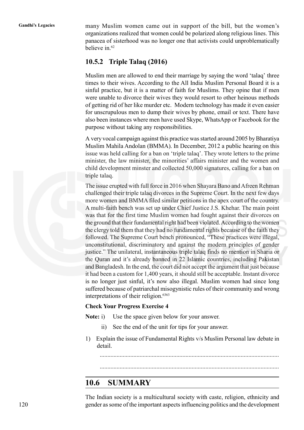**Gandhi's Legacies** many Muslim women came out in support of the bill, but the women's organizations realized that women could be polarized along religious lines. This panacea of sisterhood was no longer one that activists could unproblematically believe in.<sup>62</sup>

### **10.5.2 Triple Talaq (2016)**

Muslim men are allowed to end their marriage by saying the word 'talaq' three times to their wives. According to the All India Muslim Personal Board it is a sinful practice, but it is a matter of faith for Muslims. They opine that if men were unable to divorce their wives they would resort to other heinous methods of getting rid of her like murder etc. Modern technology has made it even easier for unscrupulous men to dump their wives by phone, email or text. There have also been instances where men have used Skype, WhatsApp or Facebook for the purpose without taking any responsibilities.

A very vocal campaign against this practice was started around 2005 by Bharatiya Muslim Mahila Andolan (BMMA). In December, 2012 a public hearing on this issue was held calling for a ban on 'triple talaq'. They wrote letters to the prime minister, the law minister, the minorities' affairs minister and the women and child development minster and collected 50,000 signatures, calling for a ban on triple talaq.

The issue erupted with full force in 2016 when Shayara Bano and Afreen Rehman challenged their triple talaq divorces in the Supreme Court. In the next few days more women and BMMA filed similar petitions in the apex court of the country. A multi-faith bench was set up under Chief Justice J.S. Khehar. The main point was that for the first time Muslim women had fought against their divorces on the ground that their fundamental right had been violated. According to the women the clergy told them that they had no fundamental rights because of the faith they followed. The Supreme Court bench pronounced, "These practices were illegal, unconstitutional, discriminatory and against the modern principles of gender justice." The unilateral, instantaneous triple talaq finds no mention in Sharia or the Quran and it's already banned in 22 Islamic countries, including Pakistan and Bangladesh. In the end, the court did not accept the argument that just because it had been a custom for 1,400 years, it should still be acceptable. Instant divorce is no longer just sinful, it's now also illegal. Muslim women had since long suffered because of patriarchal misogynistic rules of their community and wrong interpretations of their religion.<sup>6363</sup>

### **Check Your Progress Exercise 4**

**Note:** i) Use the space given below for your answer.

- ii) See the end of the unit for tips for your answer.
- 1) Explain the issue of Fundamental Rights v/s Muslim Personal law debate in detail.

.....................................................................................................................

### .....................................................................................................................

# **10.6 SUMMARY**

The Indian society is a multicultural society with caste, religion, ethnicity and gender as some of the important aspects influencing politics and the development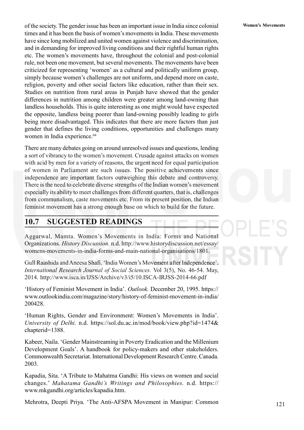of the society. The gender issue has been an important issue in India since colonial **Women's Movements** times and it has been the basis of women's movements in India. These movements have since long mobilized and united women against violence and discrimination, and in demanding for improved living conditions and their rightful human rights etc. The women's movements have, throughout the colonial and post-colonial rule, not been one movement, but several movements. The movements have been criticized for representing 'women' as a cultural and politically uniform group, simply because women's challenges are not uniform, and depend more on caste, religion, poverty and other social factors like education, rather than their sex. Studies on nutrition from rural areas in Punjab have showed that the gender differences in nutrition among children were greater among land-owning than landless households. This is quite interesting as one might would have expected the opposite, landless being poorer than land-owning possibly leading to girls being more disadvantaged. This indicates that there are more factors than just gender that defines the living conditions, opportunities and challenges many women in India experience.<sup>64</sup>

There are many debates going on around unresolved issues and questions, lending a sort of vibrancy to the women's movement. Crusade against attacks on women with acid by men for a variety of reasons, the urgent need for equal participation of women in Parliament are such issues. The positive achievements since independence are important factors outweighing this debate and controversy. There is the need to celebrate diverse strengths of the Indian women's movement especially its ability to meet challenges from different quarters, that is, challenges from communalism, caste movements etc. From its present position, the Indian feminist movement has a strong enough base on which to build for the future.

## **10.7 SUGGESTED READINGS**

Aggarwal, Mamta. Women's Movements in India: Forms and National Organizations. *History Discussion.* n.d. http://www.historydiscussion.net/essay/ womens-movements-in-india-forms-and-main-national-organisations/1801.

Gull Raashida and Aneesa Shafi. 'India Women's Movement after Independence'. *International Research Journal of Social Sciences.* Vol 3(5), No. 46-54. May, 2014. http://www.isca.in/IJSS/Archive/v3/i5/10.ISCA-IRJSS-2014-66.pdf

'History of Feminist Movement in India'. *Outlook.* December 20, 1995. https:// www.outlookindia.com/magazine/story/history-of-feminist-movement-in-india/ 200428.

'Human Rights, Gender and Environment: Women's Movements in India'. *University of Delhi.* n.d. https://sol.du.ac.in/mod/book/view.php?id=1474& chapterid=1388.

Kabeer, Naila. 'Gender Mainstreaming in Poverty Eradication and the Millenium Development Goals'. A handbook for policy-makers and other stakeholders. Commonwealth Secretariat. International Development Research Centre. Canada. 2003.

Kapadia, Sita. 'A Tribute to Mahatma Gandhi: His views on women and social changes.' *Mahatama Gandhi's Writings and Philosophies.* n.d. https:// www.mkgandhi.org/articles/kapadia.htm.

Mehrotra, Deepti Priya. 'The Anti-AFSPA Movement in Manipur: Common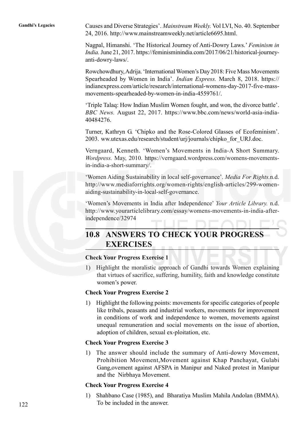**Gandhi's Legacies** Causes and Diverse Strategies'. *Mainstream Weekly.* Vol LVI, No. 40. September 24, 2016. http://www.mainstreamweekly.net/article6695.html.

> Nagpal, Himanshi. 'The Historical Journey of Anti-Dowry Laws.' *Feminism in India.* June 21, 2017. https://feminisminindia.com/2017/06/21/historical-journeyanti-dowry-laws/.

> Rowchowdhury, Adrija. 'International Women's Day 2018: Five Mass Movements Spearheaded by Women in India'. *Indian Express.* March 8, 2018. https:// indianexpress.com/article/research/international-womens-day-2017-five-massmovements-spearheaded-by-women-in-india-4559761/.

> 'Triple Talaq: How Indian Muslim Women fought, and won, the divorce battle'. *BBC News.* August 22, 2017. https://www.bbc.com/news/world-asia-india-40484276.

> Turner, Kathryn G. 'Chipko and the Rose-Colored Glasses of Ecofeminism'. 2003. ww.utexas.edu/research/student/urj/journals/chipko\_for\_URJ.doc.

> Verngaard, Kenneth. 'Women's Movements in India-A Short Summary. *Wordpress.* May, 2010. https://verngaard.wordpress.com/womens-movementsin-india-a-short-summary/.

> 'Women Aiding Sustainability in local self-governance'. *Media For Rights.*n.d. http://www.mediaforrights.org/women-rights/english-articles/299-womenaiding-sustainability-in-local-self-governance.

> 'Women's Movements in India after Independence' *Your Article Library.* n.d. http://www.yourarticlelibrary.com/essay/womens-movements-in-india-afterindependence/32974

# **10.8 ANSWERS TO CHECK YOUR PROGRESS EXERCISES**

### **Check Your Progress Exercise 1**

1) Highlight the moralistic approach of Gandhi towards Women explaining that virtues of sacrifice, suffering, humility, faith and knowledge constitute women's power.

### **Check Your Progress Exercise 2**

1) Highlight the following points: movements for specific categories of people like tribals, peasants and industrial workers, movements for improvement in conditions of work and independence to women, movements against unequal remuneration and social movements on the issue of abortion, adoption of children, sexual ex-ploitation, etc.

### **Check Your Progress Exercise 3**

1) The answer should include the summary of Anti-dowry Movement, Prohibition Movement,Movement against Khap Panchayat, Gulabi Gang,ovement against AFSPA in Manipur and Naked protest in Manipur and the Nirbhaya Movement.

### **Check Your Progress Exercise 4**

1) Shahbano Case (1985), and Bharatiya Muslim Mahila Andolan (BMMA). To be included in the answer.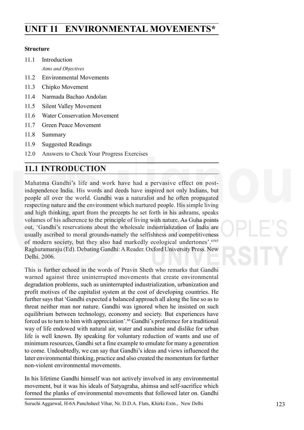# **UNIT 11 ENVIRONMENTAL MOVEMENTS\***

### **Structure**

- 11.1 Introduction
	- *Aims and Objectives*
- 11.2 Environmental Movements
- 11.3 Chipko Movement
- 11.4 Narmada Bachao Andolan
- 11.5 Silent Valley Movement
- 11.6 Water Conservation Movement
- 11.7 Green Peace Movement
- 11.8 Summary
- 11.9 Suggested Readings
- 12.0 Answers to Check Your Progress Exercises

# **11.1 INTRODUCTION**

Mahatma Gandhi's life and work have had a pervasive effect on postindependence India. His words and deeds have inspired not only Indians, but people all over the world. Gandhi was a naturalist and he often propagated respecting nature and the environment which nurtured people. His simple living and high thinking, apart from the precepts he set forth in his ashrams, speaks volumes of his adherence to the principle of living with nature. As Guha points out, 'Gandhi's reservations about the wholesale industrialization of India are usually ascribed to moral grounds-namely the selfishness and competitiveness of modern society, but they also had markedly ecological undertones'.6565 Raghuramaraju (Ed). Debating Gandhi: A Reader. Oxford University Press. New Delhi. 2006.

This is further echoed in the words of Pravin Sheth who remarks that Gandhi warned against three uninterrupted movements that create environmental degradation problems, such as uninterrupted industrialization, urbanization and profit motives of the capitalist system at the cost of developing countries. He further says that 'Gandhi expected a balanced approach all along the line so as to threat neither man nor nature. Gandhi was ignored when he insisted on such equilibrium between technology, economy and society. But experiences have forced us to turn to him with appreciation'.66 Gandhi's preference for a traditional way of life endowed with natural air, water and sunshine and dislike for urban life is well known. By speaking for voluntary reduction of wants and use of minimum resources, Gandhi set a fine example to emulate for many a generation to come. Undoubtedly, we can say that Gandhi's ideas and views influenced the later environmental thinking, practice and also created the momentum for further non-violent environmental movements.

In his lifetime Gandhi himself was not actively involved in any environmental movement, but it was his ideals of Satyagraha, ahimsa and self-sacrifice which formed the planks of environmental movements that followed later on. Gandhi

Suruchi Aggarwal, H-6A Panchsheel Vihar, Nr. D.D.A. Flats, Khirki Extn., New Delhi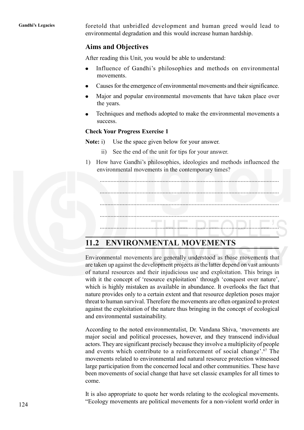**Gandhi's Legacies** foretold that unbridled development and human greed would lead to environmental degradation and this would increase human hardship.

### **Aims and Objectives**

After reading this Unit, you would be able to understand:

- Influence of Gandhi's philosophies and methods on environmental  $\bullet$ movements.
- Causes for the emergence of environmental movements and their significance.
- Major and popular environmental movements that have taken place over  $\bullet$ the years.
- Techniques and methods adopted to make the environmental movements a success.

### **Check Your Progress Exercise 1**

**Note:** i) Use the space given below for your answer.

- ii) See the end of the unit for tips for your answer.
- 1) How have Gandhi's philosophies, ideologies and methods influenced the environmental movements in the contemporary times?

..................................................................................................................... ..................................................................................................................... ..................................................................................................................... ..................................................................................................................... .....................................................................................................................

# **11.2 ENVIRONMENTAL MOVEMENTS**

Environmental movements are generally understood as those movements that are taken up against the development projects as the latter depend on vast amounts of natural resources and their injudicious use and exploitation. This brings in with it the concept of 'resource exploitation' through 'conquest over nature', which is highly mistaken as available in abundance. It overlooks the fact that nature provides only to a certain extent and that resource depletion poses major threat to human survival. Therefore the movements are often organized to protest against the exploitation of the nature thus bringing in the concept of ecological and environmental sustainability.

According to the noted environmentalist, Dr. Vandana Shiva, 'movements are major social and political processes, however, and they transcend individual actors. They are significant precisely because they involve a multiplicity of people and events which contribute to a reinforcement of social change'.67 The movements related to environmental and natural resource protection witnessed large participation from the concerned local and other communities. These have been movements of social change that have set classic examples for all times to come.

It is also appropriate to quote her words relating to the ecological movements. "Ecology movements are political movements for a non-violent world order in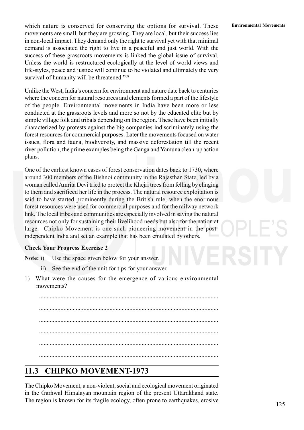which nature is conserved for conserving the options for survival. These **Environmental Movements** movements are small, but they are growing. They are local, but their success lies in non-local impact. They demand only the right to survival yet with that minimal demand is associated the right to live in a peaceful and just world. With the success of these grassroots movements is linked the global issue of survival. Unless the world is restructured ecologically at the level of world-views and life-styles, peace and justice will continue to be violated and ultimately the very survival of humanity will be threatened."<sup>68</sup>

Unlike the West, India's concern for environment and nature date back to centuries where the concern for natural resources and elements formed a part of the lifestyle of the people. Environmental movements in India have been more or less conducted at the grassroots levels and more so not by the educated elite but by simple village folk and tribals depending on the region. These have been initially characterized by protests against the big companies indiscriminately using the forest resources for commercial purposes. Later the movements focused on water issues, flora and fauna, biodiversity, and massive deforestation till the recent river pollution, the prime examples being the Ganga and Yamuna clean-up action plans.

One of the earliest known cases of forest conservation dates back to 1730, where around 300 members of the Bishnoi community in the Rajasthan State, led by a woman called Amrita Devi tried to protect the Khejri trees from felling by clinging to them and sacrificed her life in the process. The natural resource exploitation is said to have started prominently during the British rule, when the enormous forest resources were used for commercial purposes and for the railway network link. The local tribes and communities are especially involved in saving the natural resources not only for sustaining their livelihood needs but also for the nation at large. Chipko Movement is one such pioneering movement in the postindependent India and set an example that has been emulated by others.

### **Check Your Progress Exercise 2**

**Note:** i) Use the space given below for your answer.

- ii) See the end of the unit for tips for your answer.
- 1) What were the causes for the emergence of various environmental movements?

..................................................................................................................... ..................................................................................................................... ..................................................................................................................... ..................................................................................................................... .....................................................................................................................

# **11.3 CHIPKO MOVEMENT-1973**

The Chipko Movement, a non-violent, social and ecological movement originated in the Garhwal Himalayan mountain region of the present Uttarakhand state. The region is known for its fragile ecology, often prone to earthquakes, erosive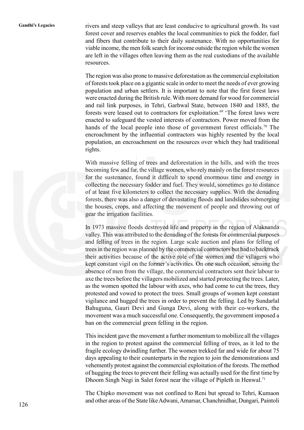Gandhi's Legacies rivers and steep valleys that are least conducive to agricultural growth. Its vast forest cover and reserves enables the local communities to pick the fodder, fuel and fibers that contribute to their daily sustenance. With no opportunities for viable income, the men folk search for income outside the region while the women are left in the villages often leaving them as the real custodians of the available resources.

> The region was also prone to massive deforestation as the commercial exploitation of forests took place on a gigantic scale in order to meet the needs of ever growing population and urban settlers. It is important to note that the first forest laws were enacted during the British rule. With more demand for wood for commercial and rail link purposes, in Tehri, Garhwal State, between 1840 and 1885, the forests were leased out to contractors for exploitation.<sup>69</sup> 'The forest laws were enacted to safeguard the vested interests of contractors. Power moved from the hands of the local people into those of government forest officials.<sup>70</sup> The encroachment by the influential contractors was highly resented by the local population, an encroachment on the resources over which they had traditional rights.

> With massive felling of trees and deforestation in the hills, and with the trees becoming few and far, the village women, who rely mainly on the forest resources for the sustenance, found it difficult to spend enormous time and energy in collecting the necessary fodder and fuel. They would, sometimes go to distance of at least five kilometers to collect the necessary supplies. With the denuding forests, there was also a danger of devastating floods and landslides submerging the houses, crops, and affecting the movement of people and throwing out of gear the irrigation facilities.

> In 1973 massive floods destroyed life and property in the region of Alaknanda valley. This was attributed to the denuding of the forests for commercial purposes and felling of trees in the region. Large scale auction and plans for felling of trees in the region was planned by the commercial contractors but had to backtrack their activities because of the active role of the women and the villagers who kept constant vigil on the former's activities. On one such occasion, sensing the absence of men from the village, the commercial contractors sent their labour to axe the trees before the villagers mobilized and started protecting the trees. Later, as the women spotted the labour with axes, who had come to cut the trees, they protested and vowed to protect the trees. Small groups of women kept constant vigilance and hugged the trees in order to prevent the felling. Led by Sundarlal Bahuguna, Gauri Devi and Gunga Devi, along with their co-workers, the movement was a much successful one. Consequently, the government imposed a ban on the commercial green felling in the region.

> This incident gave the movement a further momentum to mobilize all the villages in the region to protest against the commercial felling of trees, as it led to the fragile ecology dwindling further. The women trekked far and wide for about 75 days appealing to their counterparts in the region to join the demonstrations and vehemently protest against the commercial exploitation of the forests. The method of hugging the trees to prevent their felling was actually used for the first time by Dhoom Singh Negi in Salet forest near the village of Pipleth in Henwal.<sup>71</sup>

> The Chipko movement was not confined to Reni but spread to Tehri, Kumaon and other areas of the State like Adwani, Amarsar, Chanchnidhar, Dungari, Paintoli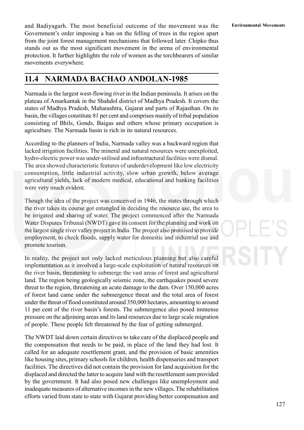and Badiyagarh. The most beneficial outcome of the movement was the **Environmental Movements** Government's order imposing a ban on the felling of trees in the region apart from the joint forest management mechanisms that followed later. Chipko thus stands out as the most significant movement in the arena of environmental protection. It further highlights the role of women as the torchbearers of similar movements everywhere.

# **11.4 NARMADA BACHAO ANDOLAN-1985**

Narmada is the largest west-flowing river in the Indian peninsula. It arises on the plateau of Amarkantak in the Shahdol district of Madhya Pradesh. It covers the states of Madhya Pradesh, Maharashtra, Gujarat and parts of Rajasthan. On its basin, the villages constitute 81 per cent and comprises mainly of tribal population consisting of Bhils, Gonds, Baigas and others whose primary occupation is agriculture. The Narmada basin is rich in its natural resources.

According to the planners of India, Narmada valley was a backward region that lacked irrigation facilities. The mineral and natural resources were unexploited, hydro-electric power was under-utilised and infrastructural facilities were dismal. The area showed characteristic features of underdevelopment like low electricity consumption, little industrial activity, slow urban growth, below average agricultural yields, lack of modern medical, educational and banking facilities were very much evident.

Though the idea of the project was conceived in 1946, the states through which the river takes its course got entangled in deciding the resource use, the area to be irrigated and sharing of water. The project commenced after the Narmada Water Disputes Tribunal (NWDT) gave its consent for the planning and work on the largest single river valley project in India. The project also promised to provide employment, to check floods, supply water for domestic and industrial use and promote tourism.

In reality, the project not only lacked meticulous planning but also careful implementation as it involved a large-scale exploitation of natural resources on the river basin, threatening to submerge the vast areas of forest and agricultural land. The region being geologically seismic zone, the earthquakes posed severe threat to the region, threatening an acute damage to the dam. Over 150,000 acres of forest land came under the submergence threat and the total area of forest under the threat of flood constituted around 350,000 hectares, amounting to around 11 per cent of the river basin's forests. The submergence also posed immense pressure on the adjoining areas and its land resources due to large scale migration of people. These people felt threatened by the fear of getting submerged.

The NWDT laid down certain directives to take care of the displaced people and the compensation that needs to be paid, in place of the land they had lost. It called for an adequate resettlement grant, and the provision of basic amenities like housing sites, primary schools for children, health dispensaries and transport facilities. The directives did not contain the provision for land acquisition for the displaced and directed the latter to acquire land with the resettlement sum provided by the government. It had also posed new challenges like unemployment and inadequate measures of alternative incomes in the new villages. The rehabilitation efforts varied from state to state with Gujarat providing better compensation and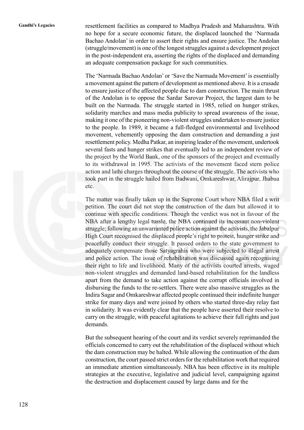**Gandhi's Legacies** resettlement facilities as compared to Madhya Pradesh and Maharashtra. With no hope for a secure economic future, the displaced launched the 'Narmada Bachao Andolan' in order to assert their rights and ensure justice. The Andolan (struggle/movement) is one of the longest struggles against a development project in the post-independent era, asserting the rights of the displaced and demanding an adequate compensation package for such communities.

> The 'Narmada Bachao Andolan' or 'Save the Narmada Movement' is essentially a movement against the pattern of development as mentioned above. It is a crusade to ensure justice of the affected people due to dam construction. The main thrust of the Andolan is to oppose the Sardar Sarovar Project, the largest dam to be built on the Narmada. The struggle started in 1985, relied on hunger strikes, solidarity marches and mass media publicity to spread awareness of the issue, making it one of the pioneering non-violent struggles undertaken to ensure justice to the people. In 1989, it became a full-fledged environmental and livelihood movement, vehemently opposing the dam construction and demanding a just resettlement policy. Medha Patkar, an inspiring leader of the movement, undertook several fasts and hunger strikes that eventually led to an independent review of the project by the World Bank, one of the sponsors of the project and eventually to its withdrawal in 1995. The activists of the movement faced stern police action and lathi charges throughout the course of the struggle. The activists who took part in the struggle hailed from Badwani, Omkareshwar, Alirajpur, Jhabua etc.

> The matter was finally taken up in the Supreme Court where NBA filed a writ petition. The court did not stop the construction of the dam but allowed it to continue with specific conditions. Though the verdict was not in favour of the NBA after a lengthy legal tussle, the NBA continued its incessant non-violent struggle; following an unwarranted police action against the activists, the Jabalpur High Court recognised the displaced people's right to protest, hunger strike and peacefully conduct their struggle. It passed orders to the state government to adequately compensate those Satyagrahis who were subjected to illegal arrest and police action. The issue of rehabilitation was discussed again recognising their right to life and livelihood. Many of the activists courted arrests, waged non-violent struggles and demanded land-based rehabilitation for the landless apart from the demand to take action against the corrupt officials involved in disbursing the funds to the re-settlers. There were also massive struggles as the Indira Sagar and Omkareshwar affected people continued their indefinite hunger strike for many days and were joined by others who started three-day relay fast in solidarity. It was evidently clear that the people have asserted their resolve to carry on the struggle, with peaceful agitations to achieve their full rights and just demands.

> But the subsequent hearing of the court and its verdict severely reprimanded the officials concerned to carry out the rehabilitation of the displaced without which the dam construction may be halted. While allowing the continuation of the dam construction, the court passed strict orders for the rehabilitation work that required an immediate attention simultaneously. NBA has been effective in its multiple strategies at the executive, legislative and judicial level, campaigning against the destruction and displacement caused by large dams and for the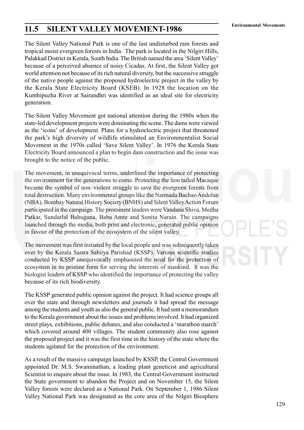# **Environmental Movements 11.5 SILENT VALLEY MOVEMENT-1986**

The Silent Valley National Park is one of the last undisturbed rain forests and tropical moist evergreen forests in India. The park is located in the Nilgiri Hills, Palakkad District in Kerala, South India. The British named the area 'Silent Valley' because of a perceived absence of noisy Cicadas. At first, the Silent Valley got world attention not because of its rich natural diversity, but the successive struggle of the native people against the proposed hydroelectric project in the valley by the Kerala State Electricity Board (KSEB). In 1928 the location on the Kunthipuzha River at Sairandhri was identified as an ideal site for electricity generation.

The Silent Valley Movement got national attention during the 1980s when the state-led development projects were dominating the scene. The dams were viewed as the 'icons' of development. Plans for a hydroelectric project that threatened the park's high diversity of wildlife stimulated an Environmentalist Social Movement in the 1970s called 'Save Silent Valley'. In 1976 the Kerala State Electricity Board announced a plan to begin dam construction and the issue was brought to the notice of the public.

The movement, in unequivocal terms, underlined the importance of protecting the environment for the generations to come. Protecting the lion tailed Macaque became the symbol of non–violent struggle to save the evergreen forests from total destruction. Many environmental groups like the Narmada Bachao Andolan (NBA), Bombay Natural History Society (BNHS) and Silent Valley Action Forum participated in the campaign. The prominent leaders were Vandana Shiva, Medha Patkar, Sundarlal Bahuguna, Baba Amte and Sunita Narain. The campaigns launched through the media, both print and electronic, generated public opinion in favour of the protection of the ecosystem of the silent valley.

The movement was first initiated by the local people and was subsequently taken over by the Kerala Sastra Sahitya Parishad (KSSP). Various scientific studies conducted by KSSP unequivocally emphasized the need for the protection of ecosystem in its pristine form for serving the interests of mankind. It was the biologist leaders of KSSP who identified the importance of protecting the valley because of its rich biodiversity.

The KSSP generated public opinion against the project. It had science groups all over the state and through newsletters and journals it had spread the message among the students and youth as also the general public. It had sent a memorandum to the Kerala government about the issues and problems involved. It had organized street plays, exhibitions, public debates, and also conducted a 'marathon march' which covered around 400 villages. The student community also rose against the proposed project and it was the first time in the history of the state where the students agitated for the protection of the environment.

As a result of the massive campaign launched by KSSP, the Central Government appointed Dr. M.S. Swaminathan, a leading plant geneticist and agricultural Scientist to enquire about the issue. In 1983, the Central Government instructed the State government to abandon the Project and on November 15, the Silent Valley forests were declared as a National Park. On September 1, 1986 Silent Valley National Park was designated as the core area of the Nilgiri Biosphere

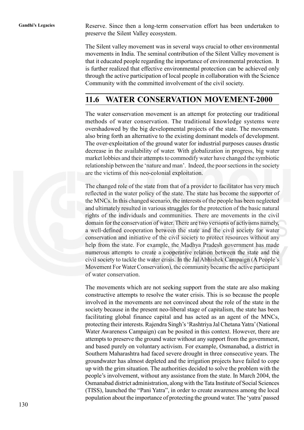Gandhi's Legacies Reserve. Since then a long-term conservation effort has been undertaken to preserve the Silent Valley ecosystem.

> The Silent valley movement was in several ways crucial to other environmental movements in India. The seminal contribution of the Silent Valley movement is that it educated people regarding the importance of environmental protection. It is further realized that effective environmental protection can be achieved only through the active participation of local people in collaboration with the Science Community with the committed involvement of the civil society.

# **11.6 WATER CONSERVATION MOVEMENT-2000**

The water conservation movement is an attempt for protecting our traditional methods of water conservation. The traditional knowledge systems were overshadowed by the big developmental projects of the state. The movements also bring forth an alternative to the existing dominant models of development. The over-exploitation of the ground water for industrial purposes causes drastic decrease in the availability of water. With globalization in progress, big water market lobbies and their attempts to commodify water have changed the symbiotic relationship between the 'nature and man'. Indeed, the poor sections in the society are the victims of this neo-colonial exploitation.

The changed role of the state from that of a provider to facilitator has very much reflected in the water policy of the state. The state has become the supporter of the MNCs. In this changed scenario, the interests of the people has been neglected and ultimately resulted in various struggles for the protection of the basic natural rights of the individuals and communities. There are movements in the civil domain for the conservation of water. There are two versions of activisms namely, a well-defined cooperation between the state and the civil society for water conservation and initiative of the civil society to protect resources without any help from the state. For example, the Madhya Pradesh government has made numerous attempts to create a cooperative relation between the state and the civil society to tackle the water crisis. In the Jal Abhishek Campaign (A People's Movement For Water Conservation), the community became the active participant of water conservation.

The movements which are not seeking support from the state are also making constructive attempts to resolve the water crisis. This is so because the people involved in the movements are not convinced about the role of the state in the society because in the present neo-liberal stage of capitalism, the state has been facilitating global finance capital and has acted as an agent of the MNCs, protecting their interests. Rajendra Singh's 'Rashtriya Jal Chetana Yatra' (National Water Awareness Campaign) can be posited in this context. However, there are attempts to preserve the ground water without any support from the government, and based purely on voluntary activism. For example, Osmanabad, a district in Southern Maharashtra had faced severe drought in three consecutive years. The groundwater has almost depleted and the irrigation projects have failed to cope up with the grim situation. The authorities decided to solve the problem with the people's involvement, without any assistance from the state. In March 2004, the Osmanabad district administration, along with the Tata Institute of Social Sciences (TISS), launched the "Pani Yatra", in order to create awareness among the local population about the importance of protecting the ground water. The 'yatra' passed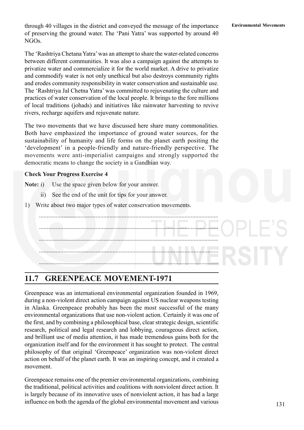**Environmental Movements** through 40 villages in the district and conveyed the message of the importance of preserving the ground water. The 'Pani Yatra' was supported by around 40 NGOs.

The 'Rashtriya Chetana Yatra' was an attempt to share the water-related concerns between different communities. It was also a campaign against the attempts to privatize water and commercialize it for the world market. A drive to privatize and commodify water is not only unethical but also destroys community rights and erodes community responsibility in water conservation and sustainable use. The 'Rashtriya Jal Chetna Yatra' was committed to rejuvenating the culture and practices of water conservation of the local people. It brings to the fore millions of local traditions (johads) and initiatives like rainwater harvesting to revive rivers, recharge aquifers and rejuvenate nature.

The two movements that we have discussed here share many commonalities. Both have emphasized the importance of ground water sources, for the sustainability of humanity and life forms on the planet earth positing the 'development' in a people-friendly and nature-friendly perspective. The movements were anti-imperialist campaigns and strongly supported the democratic means to change the society in a Gandhian way.

### **Check Your Progress Exercise 4**

**Note:** i) Use the space given below for your answer.

- ii) See the end of the unit for tips for your answer.
- 1) Write about two major types of water conservation movements.

..................................................................................................................... ..................................................................................................................... ..................................................................................................................... ..................................................................................................................... .....................................................................................................................

# **11.7 GREENPEACE MOVEMENT-1971**

Greenpeace was an international environmental organization founded in 1969, during a non-violent direct action campaign against US nuclear weapons testing in Alaska. Greenpeace probably has been the most successful of the many environmental organizations that use non-violent action. Certainly it was one of the first, and by combining a philosophical base, clear strategic design, scientific research, political and legal research and lobbying, courageous direct action, and brilliant use of media attention, it has made tremendous gains both for the organization itself and for the environment it has sought to protect. The central philosophy of that original 'Greenpeace' organization was non-violent direct action on behalf of the planet earth. It was an inspiring concept, and it created a movement.

Greenpeace remains one of the premier environmental organizations, combining the traditional, political activities and coalitions with nonviolent direct action. It is largely because of its innovative uses of nonviolent action, it has had a large influence on both the agenda of the global environmental movement and various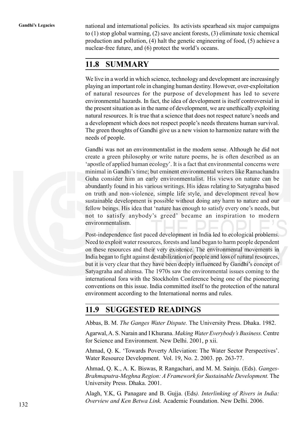**Gandhi's Legacies** national and international policies. Its activists spearhead six major campaigns to (1) stop global warming, (2) save ancient forests, (3) eliminate toxic chemical production and pollution, (4) halt the genetic engineering of food, (5) achieve a nuclear-free future, and (6) protect the world's oceans.

# **11.8 SUMMARY**

We live in a world in which science, technology and development are increasingly playing an important role in changing human destiny. However, over-exploitation of natural resources for the purpose of development has led to severe environmental hazards. In fact, the idea of development is itself controversial in the present situation as in the name of development, we are unethically exploiting natural resources. It is true that a science that does not respect nature's needs and a development which does not respect people's needs threatens human survival. The green thoughts of Gandhi give us a new vision to harmonize nature with the needs of people.

Gandhi was not an environmentalist in the modern sense. Although he did not create a green philosophy or write nature poems, he is often described as an 'apostle of applied human ecology'. It is a fact that environmental concerns were minimal in Gandhi's time; but eminent environmental writers like Ramachandra Guha consider him an early environmentalist. His views on nature can be abundantly found in his various writings. His ideas relating to Satyagraha based on truth and non-violence, simple life style, and development reveal how sustainable development is possible without doing any harm to nature and our fellow beings. His idea that 'nature has enough to satisfy every one's needs, but not to satisfy anybody's greed' became an inspiration to modern environmentalism.

Post-independence fast paced development in India led to ecological problems. Need to exploit water resources, forests and land began to harm people dependent on these resources and their very existence. The environmental movements in India began to fight against destabilization of people and loss of natural resources, but it is very clear that they have been deeply influenced by Gandhi's concept of Satyagraha and ahimsa. The 1970s saw the environmental issues coming to the international fora with the Stockholm Conference being one of the pioneering conventions on this issue. India committed itself to the protection of the natural environment according to the International norms and rules.

# **11.9 SUGGESTED READINGS**

Abbas, B. M. *The Ganges Water Dispute.* The University Press. Dhaka. 1982.

Agarwal, A. S. Narain and I Khurana. *Making Water Everybody's Business.* Centre for Science and Environment. New Delhi. 2001, p xii.

Ahmad, Q. K. 'Towards Poverty Alleviation: The Water Sector Perspectives'. Water Resource Development. Vol. 19, No. 2. 2003. pp. 263-77.

Ahmad, Q. K., A. K. Biswas, R Rangachari, and M. M. Sainju. (Eds). *Ganges-Brahmaputra-Meghna Region: A Framework for Sustainable Development.* The University Press. Dhaka. 2001.

Alagh, Y.K, G. Panagare and B. Gujja. (Eds*). Interlinking of Rivers in India: Overview and Ken Betwa Link.* Academic Foundation. New Delhi. 2006.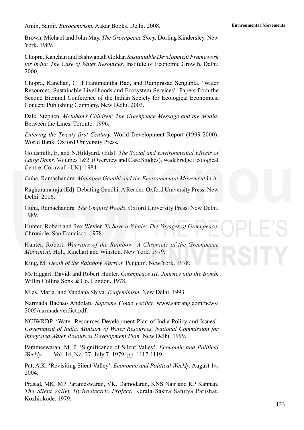Amin, Samir. *Eurocentrism.* **Environmental Movements** Aakar Books. Delhi. 2008.

Brown, Michael and John May. *The Greenpeace Story.* Dorling Kindersley. New York. 1989.

Chopra, Kanchan and Bishwanath Goldar. *Sustainable Development Framework for India: The Case of Water Resources.* Institute of Economic Growth. Delhi. 2000.

Chopra, Kanchan, C H Hanumantha Rao, and Ramprasad Sengupta. 'Water Resources, Sustainable Livelihoods and Ecosystem Services'. Papers from the Second Biennial Conference of the Indian Society for Ecological Economics. Concept Publishing Company. New Delhi. 2003.

Dale, Stephen. *Mcluhan's Children: The Greenpeace Message and the Media.* Between the Lines. Toronto. 1996.

*Entering the Twenty-first Century.* World Development Report (1999-2000). World Bank. Oxford University Press.

Goldsmith, E, and N.Hildyard. (Eds). *The Social and Environmental Effects of Large Dams.* Volumes 1&2. (Overview and Case Studies). Wadebridge Ecological Centre. Cornwall (UK). 1984.

Guha, Ramachandra. *Mahatma Gandhi and the Environmental Movement* in A.

Raghuramaraju (Ed). Debating Gandhi: A Reader. Oxford University Press. New Delhi. 2006.

Guha, Ramachandra. *The Unquiet Woods.* Oxford University Press. New Delhi. 1989.

Hunter, Robert and Rex Weyler. *To Save a Whale: The Voyages of Greenpeace.* Chronicle. San Francisco. 1978.

Hunter, Robert. *Warriors of the Rainbow: A Chronicle of the Greenpeace Movement.* Holt, Rinehart and Winston. New York. 1979.

King, M. *Death of the Rainbow Warrior.* Penguin. New York. 1978.

McTaggart, David, and Robert Hunter. *Greenpeace III: Journey into the Bomb.* Willin Collins Sons & Co. London. 1978.

Mies, Maria. and Vandana Shiva. *Ecofeminism.* New Delhi. 1993.

Narmada Bachao Andolan. *Supreme Court Verdict.* www.sabrang.com/news/ 2005/narmadaverdict.pdf.

NCIWRDP. 'Water Resources Development Plan of India-Policy and Issues'. *Government of India. Ministry of Water Resources. National Commission for Integrated Water Resources Development Plan.* New Delhi. 1999.

Parameswaran, M. P. 'Significance of Silent Valley'. *Economic and Political Weekly.* Vol. 14, No. 27. July 7, 1979. pp. 1117-1119.

Pat, A.K. 'Revisiting Silent Valley'. *Economic and Political Weekly.* August 14, 2004.

Prasad, MK, MP Parameswaran, VK. Damodaran, KNS Nair and KP Kannan. *The Silent Valley Hydroelectric Project.* Kerala Sastra Sahitya Parishat. Kozhiokode. 1979.